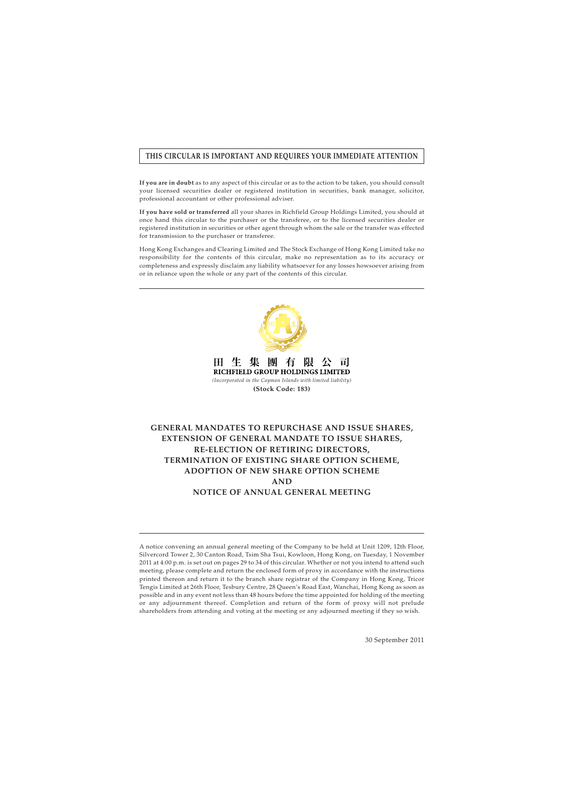# **THIS CIRCULAR IS IMPORTANT AND REQUIRES YOUR IMMEDIATE ATTENTION**

**If you are in doubt** as to any aspect of this circular or as to the action to be taken, you should consult your licensed securities dealer or registered institution in securities, bank manager, solicitor, professional accountant or other professional adviser.

**If you have sold or transferred** all your shares in Richfield Group Holdings Limited, you should at once hand this circular to the purchaser or the transferee, or to the licensed securities dealer or registered institution in securities or other agent through whom the sale or the transfer was effected for transmission to the purchaser or transferee.

Hong Kong Exchanges and Clearing Limited and The Stock Exchange of Hong Kong Limited take no responsibility for the contents of this circular, make no representation as to its accuracy or completeness and expressly disclaim any liability whatsoever for any losses howsoever arising from or in reliance upon the whole or any part of the contents of this circular.



田生 團 集 有 陪 可 RICHFIELD GROUP HOLDINGS LIMITED *(Incorporated in the Cayman Islands with limited liability)* **(Stock Code: 183)**

# **GENERAL MANDATES TO REPURCHASE AND ISSUE SHARES, EXTENSION OF GENERAL MANDATE TO ISSUE SHARES, RE-ELECTION OF RETIRING DIRECTORS, TERMINATION OF EXISTING SHARE OPTION SCHEME, ADOPTION OF NEW SHARE OPTION SCHEME AND NOTICE OF ANNUAL GENERAL MEETING**

A notice convening an annual general meeting of the Company to be held at Unit 1209, 12th Floor, Silvercord Tower 2, 30 Canton Road, Tsim Sha Tsui, Kowloon, Hong Kong, on Tuesday, 1 November 2011 at 4:00 p.m. is set out on pages 29 to 34 of this circular. Whether or not you intend to attend such meeting, please complete and return the enclosed form of proxy in accordance with the instructions printed thereon and return it to the branch share registrar of the Company in Hong Kong, Tricor Tengis Limited at 26th Floor, Tesbury Centre, 28 Queen's Road East, Wanchai, Hong Kong as soon as possible and in any event not less than 48 hours before the time appointed for holding of the meeting or any adjournment thereof. Completion and return of the form of proxy will not prelude shareholders from attending and voting at the meeting or any adjourned meeting if they so wish.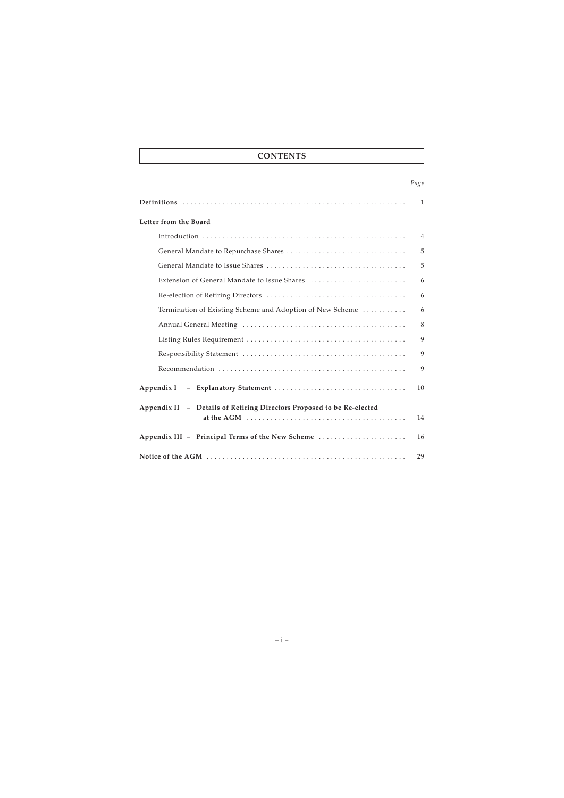# **CONTENTS**

## *Page*

|                                                                       | $\mathbf{1}$ |
|-----------------------------------------------------------------------|--------------|
| Letter from the Board                                                 |              |
|                                                                       | 4            |
|                                                                       | 5            |
|                                                                       | 5            |
|                                                                       | 6            |
|                                                                       | 6            |
| Termination of Existing Scheme and Adoption of New Scheme             | 6            |
|                                                                       | 8            |
|                                                                       | 9            |
|                                                                       | 9            |
|                                                                       | 9            |
|                                                                       | 10           |
| Appendix II - Details of Retiring Directors Proposed to be Re-elected | 14           |
| Appendix III - Principal Terms of the New Scheme                      | 16           |
|                                                                       | 29           |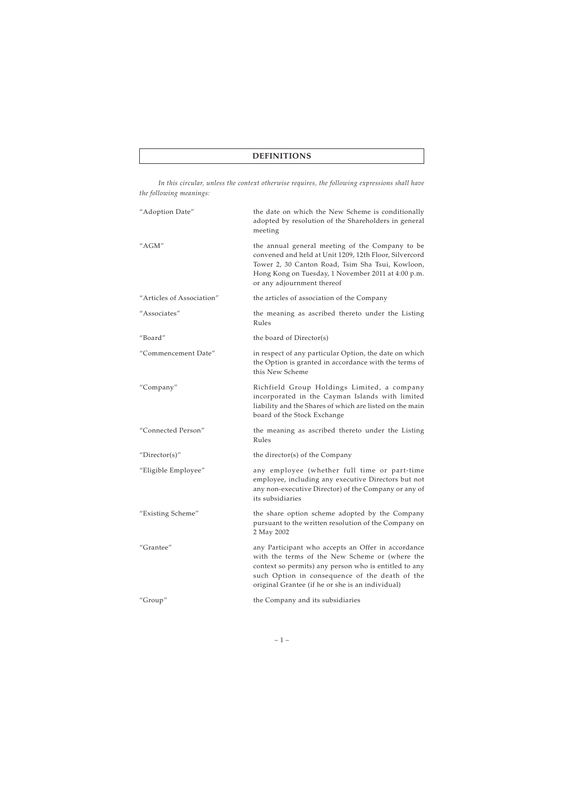*In this circular, unless the context otherwise requires, the following expressions shall have the following meanings:*

| "Adoption Date"           | the date on which the New Scheme is conditionally<br>adopted by resolution of the Shareholders in general<br>meeting                                                                                                                                                |
|---------------------------|---------------------------------------------------------------------------------------------------------------------------------------------------------------------------------------------------------------------------------------------------------------------|
| "AGM"                     | the annual general meeting of the Company to be<br>convened and held at Unit 1209, 12th Floor, Silvercord<br>Tower 2, 30 Canton Road, Tsim Sha Tsui, Kowloon,<br>Hong Kong on Tuesday, 1 November 2011 at 4:00 p.m.<br>or any adjournment thereof                   |
| "Articles of Association" | the articles of association of the Company                                                                                                                                                                                                                          |
| "Associates"              | the meaning as ascribed thereto under the Listing<br>Rules                                                                                                                                                                                                          |
| "Board"                   | the board of Director(s)                                                                                                                                                                                                                                            |
| "Commencement Date"       | in respect of any particular Option, the date on which<br>the Option is granted in accordance with the terms of<br>this New Scheme                                                                                                                                  |
| "Company"                 | Richfield Group Holdings Limited, a company<br>incorporated in the Cayman Islands with limited<br>liability and the Shares of which are listed on the main<br>board of the Stock Exchange                                                                           |
| "Connected Person"        | the meaning as ascribed thereto under the Listing<br>Rules                                                                                                                                                                                                          |
| "Director(s)"             | the director(s) of the Company                                                                                                                                                                                                                                      |
| "Eligible Employee"       | any employee (whether full time or part-time<br>employee, including any executive Directors but not<br>any non-executive Director) of the Company or any of<br>its subsidiaries                                                                                     |
| "Existing Scheme"         | the share option scheme adopted by the Company<br>pursuant to the written resolution of the Company on<br>2 May 2002                                                                                                                                                |
| "Grantee"                 | any Participant who accepts an Offer in accordance<br>with the terms of the New Scheme or (where the<br>context so permits) any person who is entitled to any<br>such Option in consequence of the death of the<br>original Grantee (if he or she is an individual) |
| "Group"                   | the Company and its subsidiaries                                                                                                                                                                                                                                    |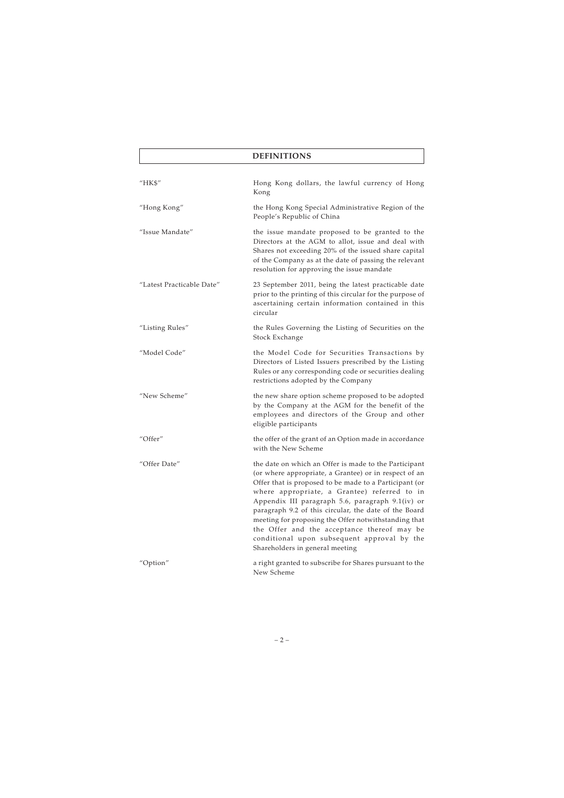# **DEFINITIONS**

| "HK\$"                    | Hong Kong dollars, the lawful currency of Hong<br>Kong                                                                                                                                                                                                                                                                                                                                                                                                                                                                         |
|---------------------------|--------------------------------------------------------------------------------------------------------------------------------------------------------------------------------------------------------------------------------------------------------------------------------------------------------------------------------------------------------------------------------------------------------------------------------------------------------------------------------------------------------------------------------|
| "Hong Kong"               | the Hong Kong Special Administrative Region of the<br>People's Republic of China                                                                                                                                                                                                                                                                                                                                                                                                                                               |
| "Issue Mandate"           | the issue mandate proposed to be granted to the<br>Directors at the AGM to allot, issue and deal with<br>Shares not exceeding 20% of the issued share capital<br>of the Company as at the date of passing the relevant<br>resolution for approving the issue mandate                                                                                                                                                                                                                                                           |
| "Latest Practicable Date" | 23 September 2011, being the latest practicable date<br>prior to the printing of this circular for the purpose of<br>ascertaining certain information contained in this<br>circular                                                                                                                                                                                                                                                                                                                                            |
| "Listing Rules"           | the Rules Governing the Listing of Securities on the<br>Stock Exchange                                                                                                                                                                                                                                                                                                                                                                                                                                                         |
| "Model Code"              | the Model Code for Securities Transactions by<br>Directors of Listed Issuers prescribed by the Listing<br>Rules or any corresponding code or securities dealing<br>restrictions adopted by the Company                                                                                                                                                                                                                                                                                                                         |
| "New Scheme"              | the new share option scheme proposed to be adopted<br>by the Company at the AGM for the benefit of the<br>employees and directors of the Group and other<br>eligible participants                                                                                                                                                                                                                                                                                                                                              |
| "Offer"                   | the offer of the grant of an Option made in accordance<br>with the New Scheme                                                                                                                                                                                                                                                                                                                                                                                                                                                  |
| "Offer Date"              | the date on which an Offer is made to the Participant<br>(or where appropriate, a Grantee) or in respect of an<br>Offer that is proposed to be made to a Participant (or<br>where appropriate, a Grantee) referred to in<br>Appendix III paragraph 5.6, paragraph 9.1(iv) or<br>paragraph 9.2 of this circular, the date of the Board<br>meeting for proposing the Offer notwithstanding that<br>the Offer and the acceptance thereof may be<br>conditional upon subsequent approval by the<br>Shareholders in general meeting |
| "Option"                  | a right granted to subscribe for Shares pursuant to the<br>New Scheme                                                                                                                                                                                                                                                                                                                                                                                                                                                          |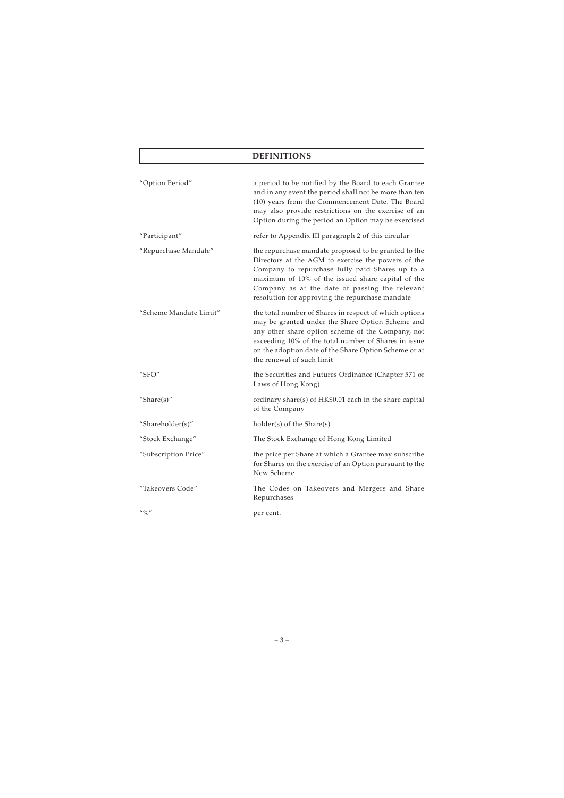# **DEFINITIONS**

| "Option Period"                       | a period to be notified by the Board to each Grantee<br>and in any event the period shall not be more than ten<br>(10) years from the Commencement Date. The Board<br>may also provide restrictions on the exercise of an<br>Option during the period an Option may be exercised                                        |
|---------------------------------------|-------------------------------------------------------------------------------------------------------------------------------------------------------------------------------------------------------------------------------------------------------------------------------------------------------------------------|
| "Participant"                         | refer to Appendix III paragraph 2 of this circular                                                                                                                                                                                                                                                                      |
| "Repurchase Mandate"                  | the repurchase mandate proposed to be granted to the<br>Directors at the AGM to exercise the powers of the<br>Company to repurchase fully paid Shares up to a<br>maximum of 10% of the issued share capital of the<br>Company as at the date of passing the relevant<br>resolution for approving the repurchase mandate |
| "Scheme Mandate Limit"                | the total number of Shares in respect of which options<br>may be granted under the Share Option Scheme and<br>any other share option scheme of the Company, not<br>exceeding 10% of the total number of Shares in issue<br>on the adoption date of the Share Option Scheme or at<br>the renewal of such limit           |
| "SFO"                                 | the Securities and Futures Ordinance (Chapter 571 of<br>Laws of Hong Kong)                                                                                                                                                                                                                                              |
| "Share $(s)$ "                        | ordinary share(s) of HK\$0.01 each in the share capital<br>of the Company                                                                                                                                                                                                                                               |
| "Shareholder(s)"                      | holder(s) of the Share(s)                                                                                                                                                                                                                                                                                               |
| "Stock Exchange"                      | The Stock Exchange of Hong Kong Limited                                                                                                                                                                                                                                                                                 |
| "Subscription Price"                  | the price per Share at which a Grantee may subscribe<br>for Shares on the exercise of an Option pursuant to the<br>New Scheme                                                                                                                                                                                           |
| "Takeovers Code"                      | The Codes on Takeovers and Mergers and Share<br>Repurchases                                                                                                                                                                                                                                                             |
| $^{\prime\prime}$ % $^{\prime\prime}$ | per cent.                                                                                                                                                                                                                                                                                                               |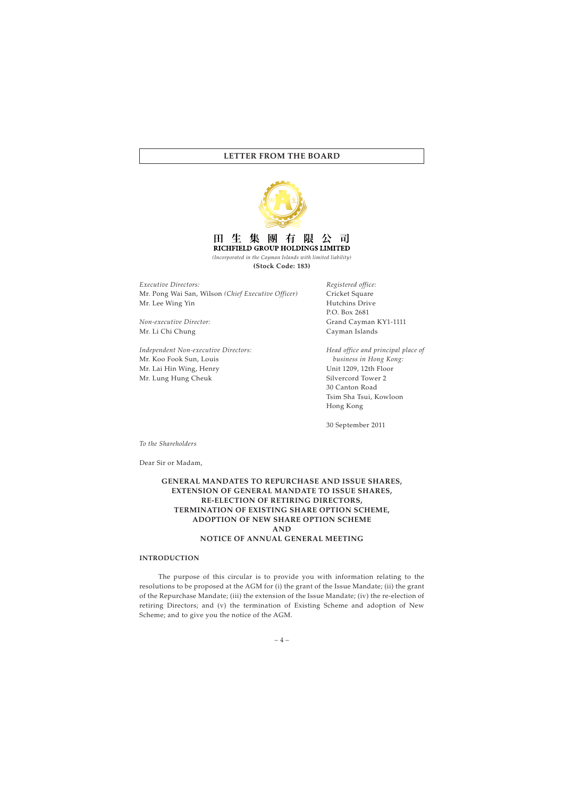

生 團 H 隼 有 可| RICHFIELD GROUP HOLDINGS LIMITED

*(Incorporated in the Cayman Islands with limited liability)* **(Stock Code: 183)**

*Executive Directors:* Mr. Pong Wai San, Wilson *(Chief Executive Officer)* Mr. Lee Wing Yin

*Non-executive Director:* Mr. Li Chi Chung

*Independent Non-executive Directors:* Mr. Koo Fook Sun, Louis Mr. Lai Hin Wing, Henry Mr. Lung Hung Cheuk

*Registered office:* Cricket Square Hutchins Drive P.O. Box 2681 Grand Cayman KY1-1111 Cayman Islands

*Head office and principal place of business in Hong Kong:* Unit 1209, 12th Floor Silvercord Tower 2 30 Canton Road Tsim Sha Tsui, Kowloon Hong Kong

30 September 2011

*To the Shareholders*

Dear Sir or Madam,

# **GENERAL MANDATES TO REPURCHASE AND ISSUE SHARES, EXTENSION OF GENERAL MANDATE TO ISSUE SHARES, RE-ELECTION OF RETIRING DIRECTORS, TERMINATION OF EXISTING SHARE OPTION SCHEME, ADOPTION OF NEW SHARE OPTION SCHEME AND NOTICE OF ANNUAL GENERAL MEETING**

#### **INTRODUCTION**

The purpose of this circular is to provide you with information relating to the resolutions to be proposed at the AGM for (i) the grant of the Issue Mandate; (ii) the grant of the Repurchase Mandate; (iii) the extension of the Issue Mandate; (iv) the re-election of retiring Directors; and (v) the termination of Existing Scheme and adoption of New Scheme; and to give you the notice of the AGM.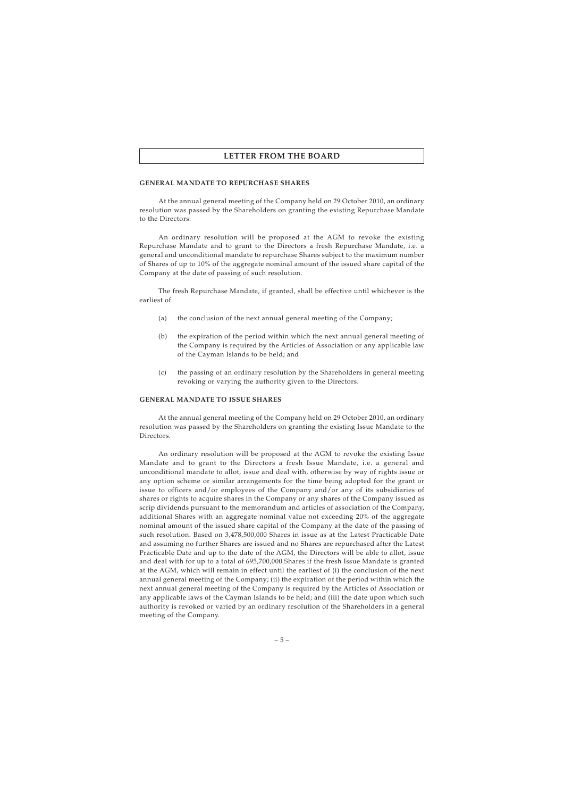#### **GENERAL MANDATE TO REPURCHASE SHARES**

At the annual general meeting of the Company held on 29 October 2010, an ordinary resolution was passed by the Shareholders on granting the existing Repurchase Mandate to the Directors.

An ordinary resolution will be proposed at the AGM to revoke the existing Repurchase Mandate and to grant to the Directors a fresh Repurchase Mandate, i.e. a general and unconditional mandate to repurchase Shares subject to the maximum number of Shares of up to 10% of the aggregate nominal amount of the issued share capital of the Company at the date of passing of such resolution.

The fresh Repurchase Mandate, if granted, shall be effective until whichever is the earliest of:

- (a) the conclusion of the next annual general meeting of the Company;
- (b) the expiration of the period within which the next annual general meeting of the Company is required by the Articles of Association or any applicable law of the Cayman Islands to be held; and
- (c) the passing of an ordinary resolution by the Shareholders in general meeting revoking or varying the authority given to the Directors.

#### **GENERAL MANDATE TO ISSUE SHARES**

At the annual general meeting of the Company held on 29 October 2010, an ordinary resolution was passed by the Shareholders on granting the existing Issue Mandate to the Directors.

An ordinary resolution will be proposed at the AGM to revoke the existing Issue Mandate and to grant to the Directors a fresh Issue Mandate, i.e. a general and unconditional mandate to allot, issue and deal with, otherwise by way of rights issue or any option scheme or similar arrangements for the time being adopted for the grant or issue to officers and/or employees of the Company and/or any of its subsidiaries of shares or rights to acquire shares in the Company or any shares of the Company issued as scrip dividends pursuant to the memorandum and articles of association of the Company, additional Shares with an aggregate nominal value not exceeding 20% of the aggregate nominal amount of the issued share capital of the Company at the date of the passing of such resolution. Based on 3,478,500,000 Shares in issue as at the Latest Practicable Date and assuming no further Shares are issued and no Shares are repurchased after the Latest Practicable Date and up to the date of the AGM, the Directors will be able to allot, issue and deal with for up to a total of 695,700,000 Shares if the fresh Issue Mandate is granted at the AGM, which will remain in effect until the earliest of (i) the conclusion of the next annual general meeting of the Company; (ii) the expiration of the period within which the next annual general meeting of the Company is required by the Articles of Association or any applicable laws of the Cayman Islands to be held; and (iii) the date upon which such authority is revoked or varied by an ordinary resolution of the Shareholders in a general meeting of the Company.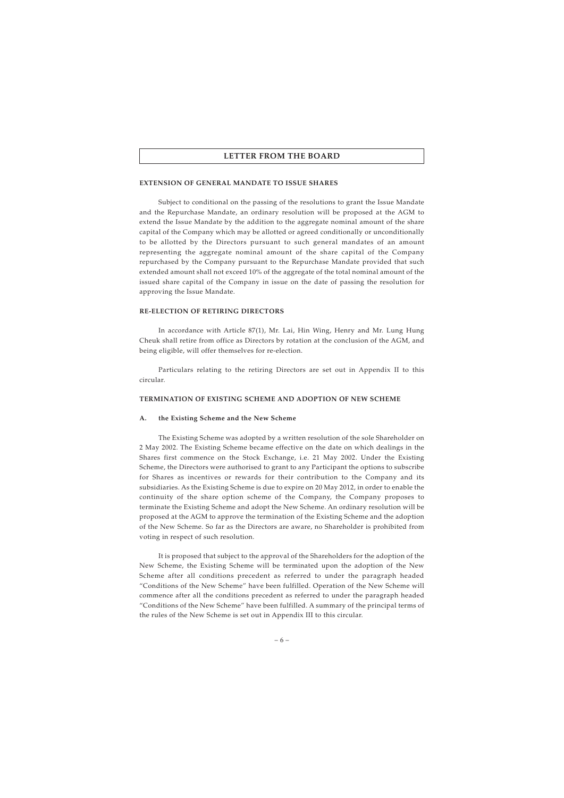#### **EXTENSION OF GENERAL MANDATE TO ISSUE SHARES**

Subject to conditional on the passing of the resolutions to grant the Issue Mandate and the Repurchase Mandate, an ordinary resolution will be proposed at the AGM to extend the Issue Mandate by the addition to the aggregate nominal amount of the share capital of the Company which may be allotted or agreed conditionally or unconditionally to be allotted by the Directors pursuant to such general mandates of an amount representing the aggregate nominal amount of the share capital of the Company repurchased by the Company pursuant to the Repurchase Mandate provided that such extended amount shall not exceed 10% of the aggregate of the total nominal amount of the issued share capital of the Company in issue on the date of passing the resolution for approving the Issue Mandate.

#### **RE-ELECTION OF RETIRING DIRECTORS**

In accordance with Article 87(1), Mr. Lai, Hin Wing, Henry and Mr. Lung Hung Cheuk shall retire from office as Directors by rotation at the conclusion of the AGM, and being eligible, will offer themselves for re-election.

Particulars relating to the retiring Directors are set out in Appendix II to this circular.

#### **TERMINATION OF EXISTING SCHEME AND ADOPTION OF NEW SCHEME**

#### **A. the Existing Scheme and the New Scheme**

The Existing Scheme was adopted by a written resolution of the sole Shareholder on 2 May 2002. The Existing Scheme became effective on the date on which dealings in the Shares first commence on the Stock Exchange, i.e. 21 May 2002. Under the Existing Scheme, the Directors were authorised to grant to any Participant the options to subscribe for Shares as incentives or rewards for their contribution to the Company and its subsidiaries. As the Existing Scheme is due to expire on 20 May 2012, in order to enable the continuity of the share option scheme of the Company, the Company proposes to terminate the Existing Scheme and adopt the New Scheme. An ordinary resolution will be proposed at the AGM to approve the termination of the Existing Scheme and the adoption of the New Scheme. So far as the Directors are aware, no Shareholder is prohibited from voting in respect of such resolution.

It is proposed that subject to the approval of the Shareholders for the adoption of the New Scheme, the Existing Scheme will be terminated upon the adoption of the New Scheme after all conditions precedent as referred to under the paragraph headed "Conditions of the New Scheme" have been fulfilled. Operation of the New Scheme will commence after all the conditions precedent as referred to under the paragraph headed "Conditions of the New Scheme" have been fulfilled. A summary of the principal terms of the rules of the New Scheme is set out in Appendix III to this circular.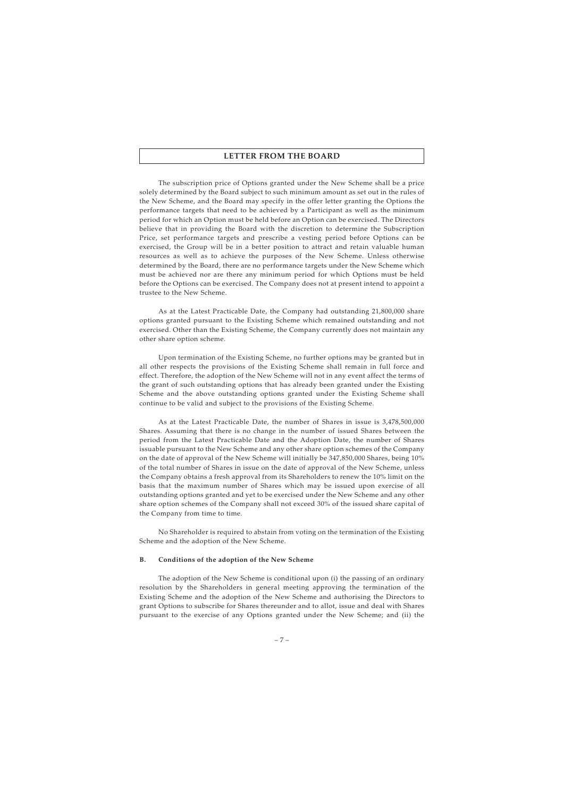The subscription price of Options granted under the New Scheme shall be a price solely determined by the Board subject to such minimum amount as set out in the rules of the New Scheme, and the Board may specify in the offer letter granting the Options the performance targets that need to be achieved by a Participant as well as the minimum period for which an Option must be held before an Option can be exercised. The Directors believe that in providing the Board with the discretion to determine the Subscription Price, set performance targets and prescribe a vesting period before Options can be exercised, the Group will be in a better position to attract and retain valuable human resources as well as to achieve the purposes of the New Scheme. Unless otherwise determined by the Board, there are no performance targets under the New Scheme which must be achieved nor are there any minimum period for which Options must be held before the Options can be exercised. The Company does not at present intend to appoint a trustee to the New Scheme.

As at the Latest Practicable Date, the Company had outstanding 21,800,000 share options granted pursuant to the Existing Scheme which remained outstanding and not exercised. Other than the Existing Scheme, the Company currently does not maintain any other share option scheme.

Upon termination of the Existing Scheme, no further options may be granted but in all other respects the provisions of the Existing Scheme shall remain in full force and effect. Therefore, the adoption of the New Scheme will not in any event affect the terms of the grant of such outstanding options that has already been granted under the Existing Scheme and the above outstanding options granted under the Existing Scheme shall continue to be valid and subject to the provisions of the Existing Scheme.

As at the Latest Practicable Date, the number of Shares in issue is 3,478,500,000 Shares. Assuming that there is no change in the number of issued Shares between the period from the Latest Practicable Date and the Adoption Date, the number of Shares issuable pursuant to the New Scheme and any other share option schemes of the Company on the date of approval of the New Scheme will initially be 347,850,000 Shares, being 10% of the total number of Shares in issue on the date of approval of the New Scheme, unless the Company obtains a fresh approval from its Shareholders to renew the 10% limit on the basis that the maximum number of Shares which may be issued upon exercise of all outstanding options granted and yet to be exercised under the New Scheme and any other share option schemes of the Company shall not exceed 30% of the issued share capital of the Company from time to time.

No Shareholder is required to abstain from voting on the termination of the Existing Scheme and the adoption of the New Scheme.

#### **B. Conditions of the adoption of the New Scheme**

The adoption of the New Scheme is conditional upon (i) the passing of an ordinary resolution by the Shareholders in general meeting approving the termination of the Existing Scheme and the adoption of the New Scheme and authorising the Directors to grant Options to subscribe for Shares thereunder and to allot, issue and deal with Shares pursuant to the exercise of any Options granted under the New Scheme; and (ii) the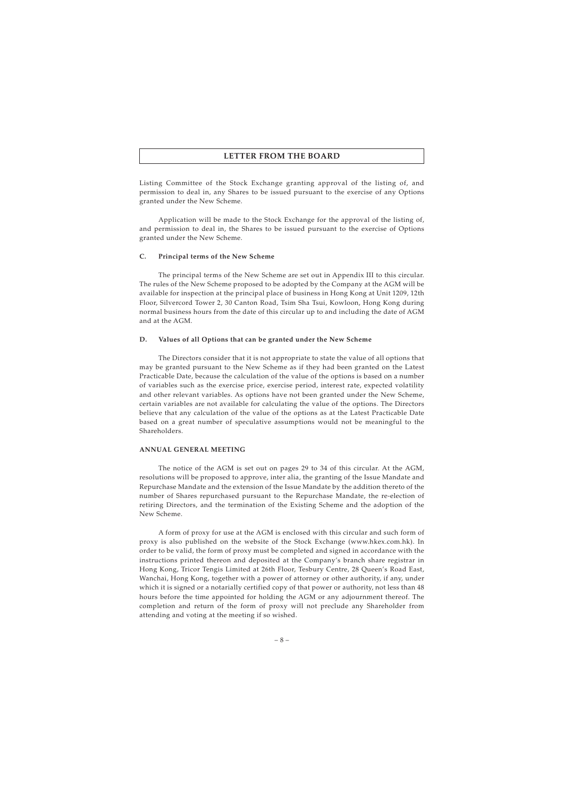Listing Committee of the Stock Exchange granting approval of the listing of, and permission to deal in, any Shares to be issued pursuant to the exercise of any Options granted under the New Scheme.

Application will be made to the Stock Exchange for the approval of the listing of, and permission to deal in, the Shares to be issued pursuant to the exercise of Options granted under the New Scheme.

#### **C. Principal terms of the New Scheme**

The principal terms of the New Scheme are set out in Appendix III to this circular. The rules of the New Scheme proposed to be adopted by the Company at the AGM will be available for inspection at the principal place of business in Hong Kong at Unit 1209, 12th Floor, Silvercord Tower 2, 30 Canton Road, Tsim Sha Tsui, Kowloon, Hong Kong during normal business hours from the date of this circular up to and including the date of AGM and at the AGM.

#### **D. Values of all Options that can be granted under the New Scheme**

The Directors consider that it is not appropriate to state the value of all options that may be granted pursuant to the New Scheme as if they had been granted on the Latest Practicable Date, because the calculation of the value of the options is based on a number of variables such as the exercise price, exercise period, interest rate, expected volatility and other relevant variables. As options have not been granted under the New Scheme, certain variables are not available for calculating the value of the options. The Directors believe that any calculation of the value of the options as at the Latest Practicable Date based on a great number of speculative assumptions would not be meaningful to the Shareholders.

#### **ANNUAL GENERAL MEETING**

The notice of the AGM is set out on pages 29 to 34 of this circular. At the AGM, resolutions will be proposed to approve, inter alia, the granting of the Issue Mandate and Repurchase Mandate and the extension of the Issue Mandate by the addition thereto of the number of Shares repurchased pursuant to the Repurchase Mandate, the re-election of retiring Directors, and the termination of the Existing Scheme and the adoption of the New Scheme.

A form of proxy for use at the AGM is enclosed with this circular and such form of proxy is also published on the website of the Stock Exchange (www.hkex.com.hk). In order to be valid, the form of proxy must be completed and signed in accordance with the instructions printed thereon and deposited at the Company's branch share registrar in Hong Kong, Tricor Tengis Limited at 26th Floor, Tesbury Centre, 28 Queen's Road East, Wanchai, Hong Kong, together with a power of attorney or other authority, if any, under which it is signed or a notarially certified copy of that power or authority, not less than 48 hours before the time appointed for holding the AGM or any adjournment thereof. The completion and return of the form of proxy will not preclude any Shareholder from attending and voting at the meeting if so wished.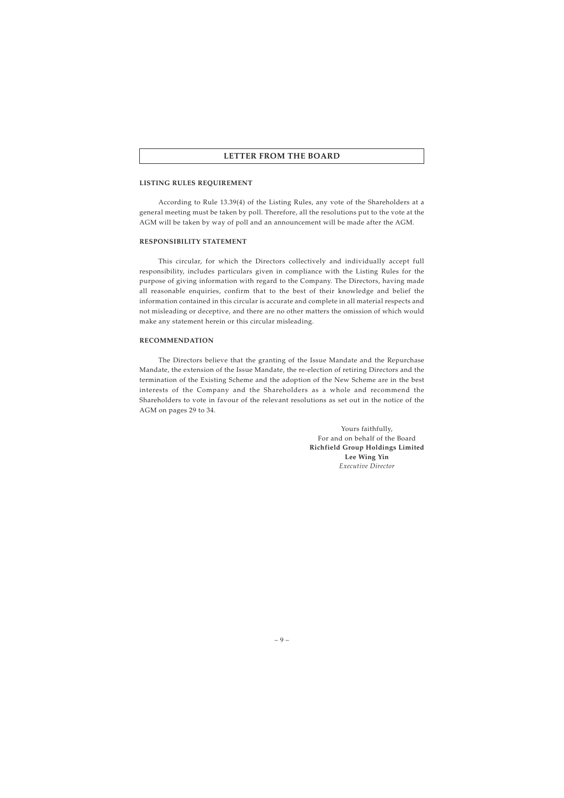#### **LISTING RULES REQUIREMENT**

According to Rule 13.39(4) of the Listing Rules, any vote of the Shareholders at a general meeting must be taken by poll. Therefore, all the resolutions put to the vote at the AGM will be taken by way of poll and an announcement will be made after the AGM.

#### **RESPONSIBILITY STATEMENT**

This circular, for which the Directors collectively and individually accept full responsibility, includes particulars given in compliance with the Listing Rules for the purpose of giving information with regard to the Company. The Directors, having made all reasonable enquiries, confirm that to the best of their knowledge and belief the information contained in this circular is accurate and complete in all material respects and not misleading or deceptive, and there are no other matters the omission of which would make any statement herein or this circular misleading.

#### **RECOMMENDATION**

The Directors believe that the granting of the Issue Mandate and the Repurchase Mandate, the extension of the Issue Mandate, the re-election of retiring Directors and the termination of the Existing Scheme and the adoption of the New Scheme are in the best interests of the Company and the Shareholders as a whole and recommend the Shareholders to vote in favour of the relevant resolutions as set out in the notice of the AGM on pages 29 to 34.

> Yours faithfully, For and on behalf of the Board **Richfield Group Holdings Limited Lee Wing Yin** *Executive Director*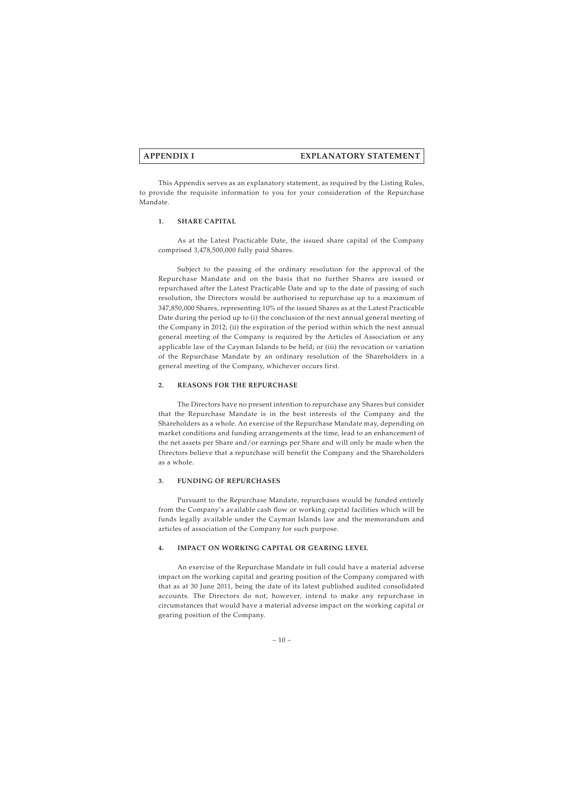This Appendix serves as an explanatory statement, as required by the Listing Rules, to provide the requisite information to you for your consideration of the Repurchase Mandate.

### **1. SHARE CAPITAL**

As at the Latest Practicable Date, the issued share capital of the Company comprised 3,478,500,000 fully paid Shares.

Subject to the passing of the ordinary resolution for the approval of the Repurchase Mandate and on the basis that no further Shares are issued or repurchased after the Latest Practicable Date and up to the date of passing of such resolution, the Directors would be authorised to repurchase up to a maximum of 347,850,000 Shares, representing 10% of the issued Shares as at the Latest Practicable Date during the period up to (i) the conclusion of the next annual general meeting of the Company in 2012; (ii) the expiration of the period within which the next annual general meeting of the Company is required by the Articles of Association or any applicable law of the Cayman Islands to be held; or (iii) the revocation or variation of the Repurchase Mandate by an ordinary resolution of the Shareholders in a general meeting of the Company, whichever occurs first.

### **2. REASONS FOR THE REPURCHASE**

The Directors have no present intention to repurchase any Shares but consider that the Repurchase Mandate is in the best interests of the Company and the Shareholders as a whole. An exercise of the Repurchase Mandate may, depending on market conditions and funding arrangements at the time, lead to an enhancement of the net assets per Share and/or earnings per Share and will only be made when the Directors believe that a repurchase will benefit the Company and the Shareholders as a whole.

#### **3. FUNDING OF REPURCHASES**

Pursuant to the Repurchase Mandate, repurchases would be funded entirely from the Company's available cash flow or working capital facilities which will be funds legally available under the Cayman Islands law and the memorandum and articles of association of the Company for such purpose.

## **4. IMPACT ON WORKING CAPITAL OR GEARING LEVEL**

An exercise of the Repurchase Mandate in full could have a material adverse impact on the working capital and gearing position of the Company compared with that as at 30 June 2011, being the date of its latest published audited consolidated accounts. The Directors do not, however, intend to make any repurchase in circumstances that would have a material adverse impact on the working capital or gearing position of the Company.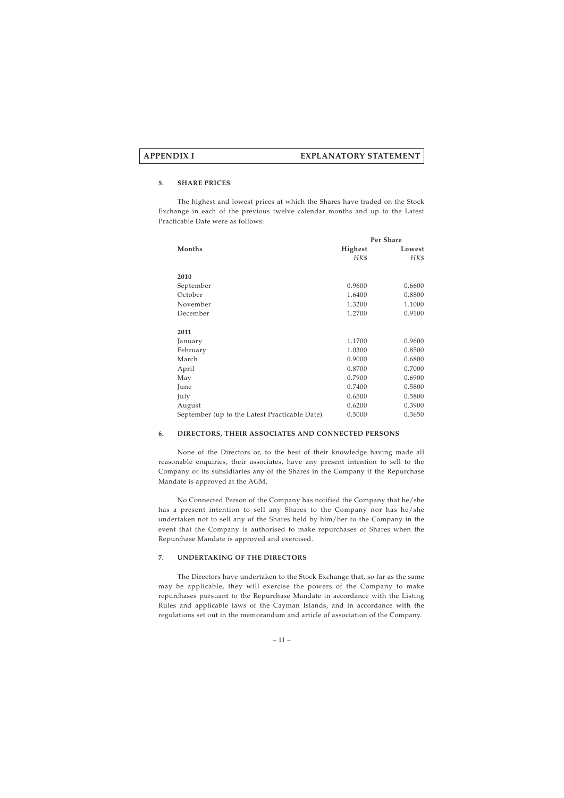## **5. SHARE PRICES**

The highest and lowest prices at which the Shares have traded on the Stock Exchange in each of the previous twelve calendar months and up to the Latest Practicable Date were as follows:

|                                               | Per Share |        |
|-----------------------------------------------|-----------|--------|
| <b>Months</b>                                 | Highest   | Lowest |
|                                               | HK\$      | HK\$   |
|                                               |           |        |
| 2010                                          |           |        |
| September                                     | 0.9600    | 0.6600 |
| October                                       | 1.6400    | 0.8800 |
| November                                      | 1.3200    | 1.1000 |
| December                                      | 1.2700    | 0.9100 |
|                                               |           |        |
| 2011                                          |           |        |
| January                                       | 1.1700    | 0.9600 |
| February                                      | 1.0300    | 0.8500 |
| March                                         | 0.9000    | 0.6800 |
| April                                         | 0.8700    | 0.7000 |
| May                                           | 0.7900    | 0.6900 |
| June                                          | 0.7400    | 0.5800 |
| July                                          | 0.6500    | 0.5800 |
| August                                        | 0.6200    | 0.3900 |
| September (up to the Latest Practicable Date) | 0.5000    | 0.3650 |

## **6. DIRECTORS, THEIR ASSOCIATES AND CONNECTED PERSONS**

None of the Directors or, to the best of their knowledge having made all reasonable enquiries, their associates, have any present intention to sell to the Company or its subsidiaries any of the Shares in the Company if the Repurchase Mandate is approved at the AGM.

No Connected Person of the Company has notified the Company that he/she has a present intention to sell any Shares to the Company nor has he/she undertaken not to sell any of the Shares held by him/her to the Company in the event that the Company is authorised to make repurchases of Shares when the Repurchase Mandate is approved and exercised.

## **7. UNDERTAKING OF THE DIRECTORS**

The Directors have undertaken to the Stock Exchange that, so far as the same may be applicable, they will exercise the powers of the Company to make repurchases pursuant to the Repurchase Mandate in accordance with the Listing Rules and applicable laws of the Cayman Islands, and in accordance with the regulations set out in the memorandum and article of association of the Company.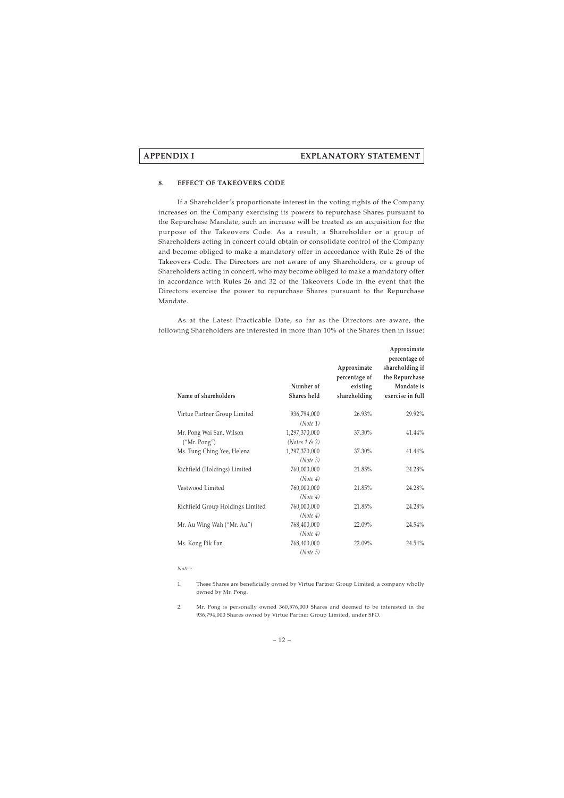#### **8. EFFECT OF TAKEOVERS CODE**

If a Shareholder's proportionate interest in the voting rights of the Company increases on the Company exercising its powers to repurchase Shares pursuant to the Repurchase Mandate, such an increase will be treated as an acquisition for the purpose of the Takeovers Code. As a result, a Shareholder or a group of Shareholders acting in concert could obtain or consolidate control of the Company and become obliged to make a mandatory offer in accordance with Rule 26 of the Takeovers Code. The Directors are not aware of any Shareholders, or a group of Shareholders acting in concert, who may become obliged to make a mandatory offer in accordance with Rules 26 and 32 of the Takeovers Code in the event that the Directors exercise the power to repurchase Shares pursuant to the Repurchase Mandate.

As at the Latest Practicable Date, so far as the Directors are aware, the following Shareholders are interested in more than 10% of the Shares then in issue:

| Name of shareholders                       | Number of<br>Shares held          | Approximate<br>percentage of<br>existing<br>shareholding | Approximate<br>percentage of<br>shareholding if<br>the Repurchase<br>Mandate is<br>exercise in full |
|--------------------------------------------|-----------------------------------|----------------------------------------------------------|-----------------------------------------------------------------------------------------------------|
|                                            |                                   |                                                          |                                                                                                     |
| Virtue Partner Group Limited               | 936,794,000<br>(Note 1)           | 26.93%                                                   | 29.92%                                                                                              |
| Mr. Pong Wai San, Wilson                   | 1,297,370,000                     | 37.30%                                                   | $41.44\%$                                                                                           |
| ("Mr. Pong")<br>Ms. Tung Ching Yee, Helena | (Notes $1 \& 2)$<br>1,297,370,000 | 37.30%                                                   | 41.44%                                                                                              |
|                                            | (Note 3)                          |                                                          |                                                                                                     |
| Richfield (Holdings) Limited               | 760,000,000<br>(Note 4)           | 21.85%                                                   | 24.28%                                                                                              |
| Vastwood Limited                           | 760,000,000<br>(Note 4)           | 21.85%                                                   | 24.28%                                                                                              |
| Richfield Group Holdings Limited           | 760,000,000                       | 21.85%                                                   | 24.28%                                                                                              |
| Mr. Au Wing Wah ("Mr. Au")                 | (Note 4)<br>768,400,000           | 22.09%                                                   | 24.54%                                                                                              |
| Ms. Kong Pik Fan                           | (Note 4)<br>768,400,000           | 22.09%                                                   | 24.54%                                                                                              |
|                                            | (Note 5)                          |                                                          |                                                                                                     |

#### *Notes:*

- 1. These Shares are beneficially owned by Virtue Partner Group Limited, a company wholly owned by Mr. Pong.
- 2. Mr. Pong is personally owned 360,576,000 Shares and deemed to be interested in the 936,794,000 Shares owned by Virtue Partner Group Limited, under SFO.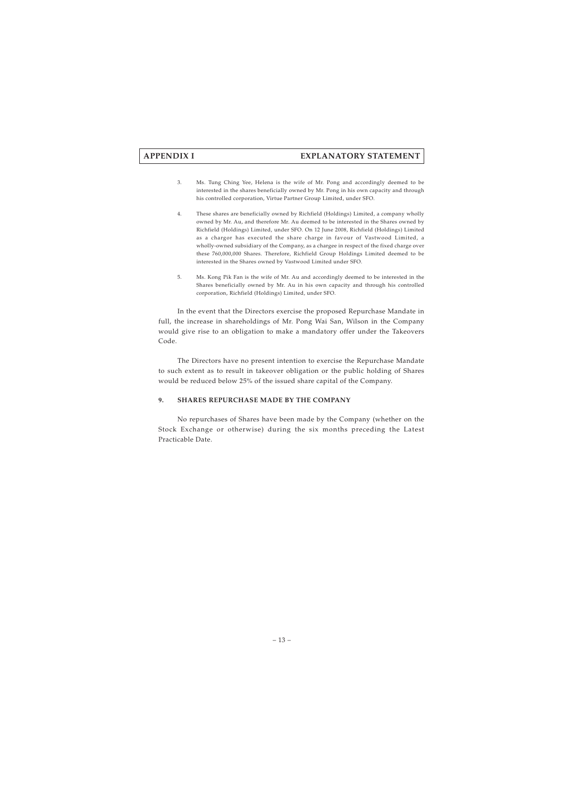- 3. Ms. Tung Ching Yee, Helena is the wife of Mr. Pong and accordingly deemed to be interested in the shares beneficially owned by Mr. Pong in his own capacity and through his controlled corporation, Virtue Partner Group Limited, under SFO.
- 4. These shares are beneficially owned by Richfield (Holdings) Limited, a company wholly owned by Mr. Au, and therefore Mr. Au deemed to be interested in the Shares owned by Richfield (Holdings) Limited, under SFO. On 12 June 2008, Richfield (Holdings) Limited as a chargor has executed the share charge in favour of Vastwood Limited, a wholly-owned subsidiary of the Company, as a chargee in respect of the fixed charge over these 760,000,000 Shares. Therefore, Richfield Group Holdings Limited deemed to be interested in the Shares owned by Vastwood Limited under SFO.
- 5. Ms. Kong Pik Fan is the wife of Mr. Au and accordingly deemed to be interested in the Shares beneficially owned by Mr. Au in his own capacity and through his controlled corporation, Richfield (Holdings) Limited, under SFO.

In the event that the Directors exercise the proposed Repurchase Mandate in full, the increase in shareholdings of Mr. Pong Wai San, Wilson in the Company would give rise to an obligation to make a mandatory offer under the Takeovers Code.

The Directors have no present intention to exercise the Repurchase Mandate to such extent as to result in takeover obligation or the public holding of Shares would be reduced below 25% of the issued share capital of the Company.

## **9. SHARES REPURCHASE MADE BY THE COMPANY**

No repurchases of Shares have been made by the Company (whether on the Stock Exchange or otherwise) during the six months preceding the Latest Practicable Date.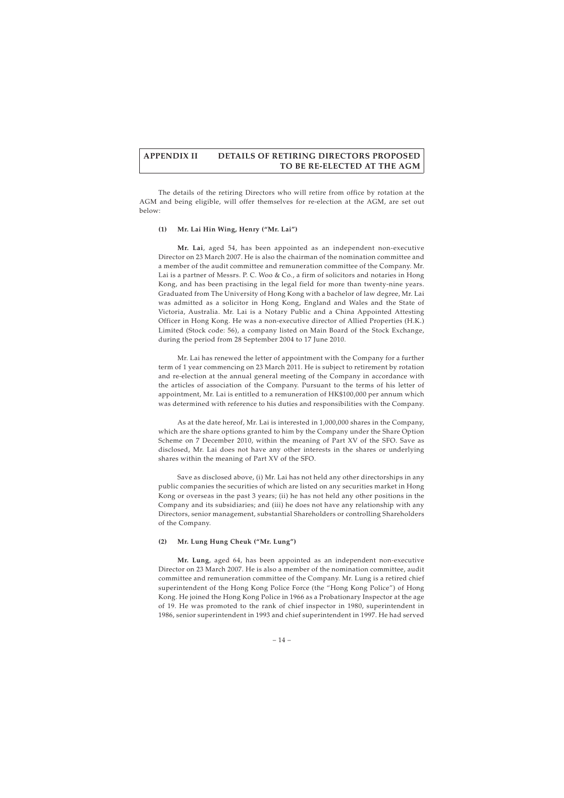# **APPENDIX II DETAILS OF RETIRING DIRECTORS PROPOSED TO BE RE-ELECTED AT THE AGM**

The details of the retiring Directors who will retire from office by rotation at the AGM and being eligible, will offer themselves for re-election at the AGM, are set out below:

## **(1) Mr. Lai Hin Wing, Henry ("Mr. Lai")**

**Mr. Lai**, aged 54, has been appointed as an independent non-executive Director on 23 March 2007. He is also the chairman of the nomination committee and a member of the audit committee and remuneration committee of the Company. Mr. Lai is a partner of Messrs. P. C. Woo & Co., a firm of solicitors and notaries in Hong Kong, and has been practising in the legal field for more than twenty-nine years. Graduated from The University of Hong Kong with a bachelor of law degree, Mr. Lai was admitted as a solicitor in Hong Kong, England and Wales and the State of Victoria, Australia. Mr. Lai is a Notary Public and a China Appointed Attesting Officer in Hong Kong. He was a non-executive director of Allied Properties (H.K.) Limited (Stock code: 56), a company listed on Main Board of the Stock Exchange, during the period from 28 September 2004 to 17 June 2010.

Mr. Lai has renewed the letter of appointment with the Company for a further term of 1 year commencing on 23 March 2011. He is subject to retirement by rotation and re-election at the annual general meeting of the Company in accordance with the articles of association of the Company. Pursuant to the terms of his letter of appointment, Mr. Lai is entitled to a remuneration of HK\$100,000 per annum which was determined with reference to his duties and responsibilities with the Company.

As at the date hereof, Mr. Lai is interested in 1,000,000 shares in the Company, which are the share options granted to him by the Company under the Share Option Scheme on 7 December 2010, within the meaning of Part XV of the SFO. Save as disclosed, Mr. Lai does not have any other interests in the shares or underlying shares within the meaning of Part XV of the SFO.

Save as disclosed above, (i) Mr. Lai has not held any other directorships in any public companies the securities of which are listed on any securities market in Hong Kong or overseas in the past 3 years; (ii) he has not held any other positions in the Company and its subsidiaries; and (iii) he does not have any relationship with any Directors, senior management, substantial Shareholders or controlling Shareholders of the Company.

## **(2) Mr. Lung Hung Cheuk ("Mr. Lung")**

**Mr. Lung**, aged 64, has been appointed as an independent non-executive Director on 23 March 2007. He is also a member of the nomination committee, audit committee and remuneration committee of the Company. Mr. Lung is a retired chief superintendent of the Hong Kong Police Force (the "Hong Kong Police") of Hong Kong. He joined the Hong Kong Police in 1966 as a Probationary Inspector at the age of 19. He was promoted to the rank of chief inspector in 1980, superintendent in 1986, senior superintendent in 1993 and chief superintendent in 1997. He had served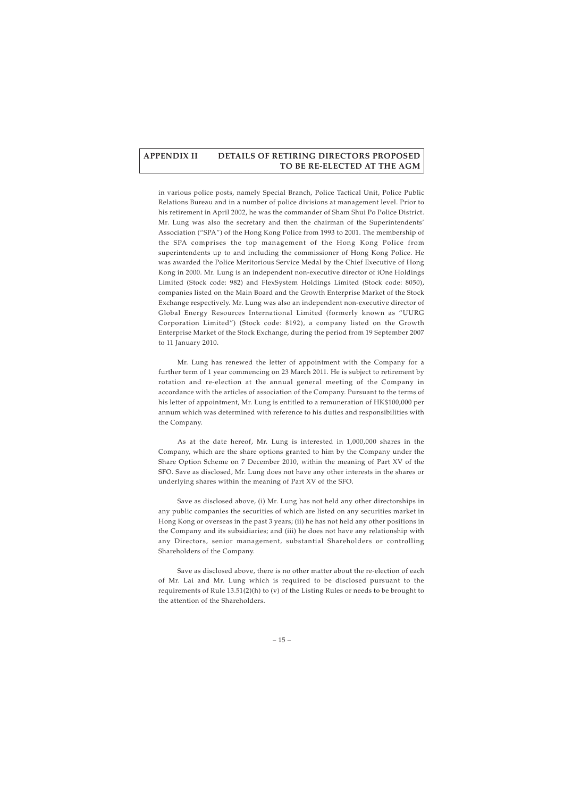# **APPENDIX II DETAILS OF RETIRING DIRECTORS PROPOSED TO BE RE-ELECTED AT THE AGM**

in various police posts, namely Special Branch, Police Tactical Unit, Police Public Relations Bureau and in a number of police divisions at management level. Prior to his retirement in April 2002, he was the commander of Sham Shui Po Police District. Mr. Lung was also the secretary and then the chairman of the Superintendents' Association ("SPA") of the Hong Kong Police from 1993 to 2001. The membership of the SPA comprises the top management of the Hong Kong Police from superintendents up to and including the commissioner of Hong Kong Police. He was awarded the Police Meritorious Service Medal by the Chief Executive of Hong Kong in 2000. Mr. Lung is an independent non-executive director of iOne Holdings Limited (Stock code: 982) and FlexSystem Holdings Limited (Stock code: 8050), companies listed on the Main Board and the Growth Enterprise Market of the Stock Exchange respectively. Mr. Lung was also an independent non-executive director of Global Energy Resources International Limited (formerly known as "UURG Corporation Limited") (Stock code: 8192), a company listed on the Growth Enterprise Market of the Stock Exchange, during the period from 19 September 2007 to 11 January 2010.

Mr. Lung has renewed the letter of appointment with the Company for a further term of 1 year commencing on 23 March 2011. He is subject to retirement by rotation and re-election at the annual general meeting of the Company in accordance with the articles of association of the Company. Pursuant to the terms of his letter of appointment, Mr. Lung is entitled to a remuneration of HK\$100,000 per annum which was determined with reference to his duties and responsibilities with the Company.

As at the date hereof, Mr. Lung is interested in 1,000,000 shares in the Company, which are the share options granted to him by the Company under the Share Option Scheme on 7 December 2010, within the meaning of Part XV of the SFO. Save as disclosed, Mr. Lung does not have any other interests in the shares or underlying shares within the meaning of Part XV of the SFO.

Save as disclosed above, (i) Mr. Lung has not held any other directorships in any public companies the securities of which are listed on any securities market in Hong Kong or overseas in the past 3 years; (ii) he has not held any other positions in the Company and its subsidiaries; and (iii) he does not have any relationship with any Directors, senior management, substantial Shareholders or controlling Shareholders of the Company.

Save as disclosed above, there is no other matter about the re-election of each of Mr. Lai and Mr. Lung which is required to be disclosed pursuant to the requirements of Rule 13.51(2)(h) to (v) of the Listing Rules or needs to be brought to the attention of the Shareholders.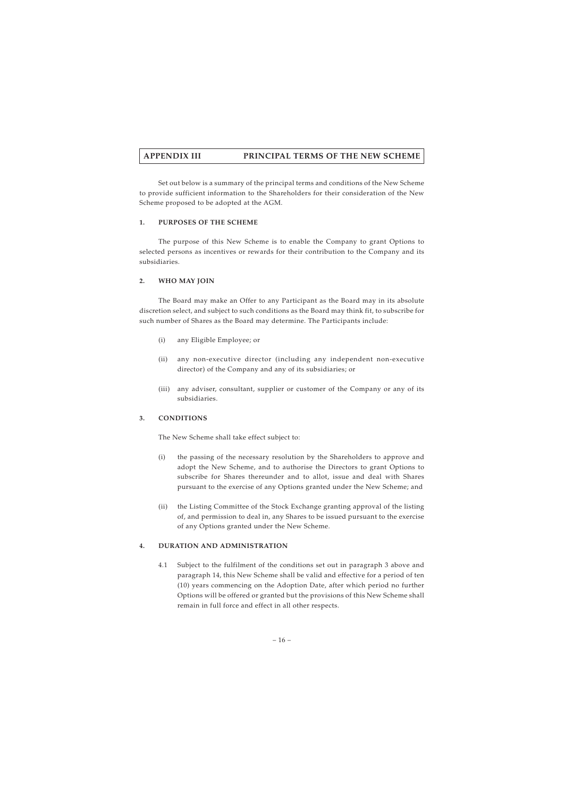Set out below is a summary of the principal terms and conditions of the New Scheme to provide sufficient information to the Shareholders for their consideration of the New Scheme proposed to be adopted at the AGM.

## **1. PURPOSES OF THE SCHEME**

The purpose of this New Scheme is to enable the Company to grant Options to selected persons as incentives or rewards for their contribution to the Company and its subsidiaries.

## **2. WHO MAY JOIN**

The Board may make an Offer to any Participant as the Board may in its absolute discretion select, and subject to such conditions as the Board may think fit, to subscribe for such number of Shares as the Board may determine. The Participants include:

- (i) any Eligible Employee; or
- (ii) any non-executive director (including any independent non-executive director) of the Company and any of its subsidiaries; or
- (iii) any adviser, consultant, supplier or customer of the Company or any of its subsidiaries.

## **3. CONDITIONS**

The New Scheme shall take effect subject to:

- (i) the passing of the necessary resolution by the Shareholders to approve and adopt the New Scheme, and to authorise the Directors to grant Options to subscribe for Shares thereunder and to allot, issue and deal with Shares pursuant to the exercise of any Options granted under the New Scheme; and
- (ii) the Listing Committee of the Stock Exchange granting approval of the listing of, and permission to deal in, any Shares to be issued pursuant to the exercise of any Options granted under the New Scheme.

## **4. DURATION AND ADMINISTRATION**

4.1 Subject to the fulfilment of the conditions set out in paragraph 3 above and paragraph 14, this New Scheme shall be valid and effective for a period of ten (10) years commencing on the Adoption Date, after which period no further Options will be offered or granted but the provisions of this New Scheme shall remain in full force and effect in all other respects.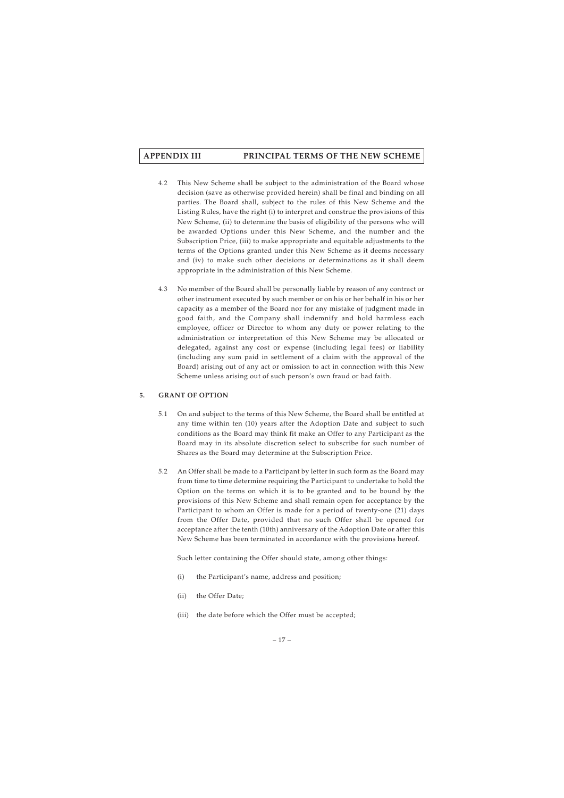- 4.2 This New Scheme shall be subject to the administration of the Board whose decision (save as otherwise provided herein) shall be final and binding on all parties. The Board shall, subject to the rules of this New Scheme and the Listing Rules, have the right (i) to interpret and construe the provisions of this New Scheme, (ii) to determine the basis of eligibility of the persons who will be awarded Options under this New Scheme, and the number and the Subscription Price, (iii) to make appropriate and equitable adjustments to the terms of the Options granted under this New Scheme as it deems necessary and (iv) to make such other decisions or determinations as it shall deem appropriate in the administration of this New Scheme.
- 4.3 No member of the Board shall be personally liable by reason of any contract or other instrument executed by such member or on his or her behalf in his or her capacity as a member of the Board nor for any mistake of judgment made in good faith, and the Company shall indemnify and hold harmless each employee, officer or Director to whom any duty or power relating to the administration or interpretation of this New Scheme may be allocated or delegated, against any cost or expense (including legal fees) or liability (including any sum paid in settlement of a claim with the approval of the Board) arising out of any act or omission to act in connection with this New Scheme unless arising out of such person's own fraud or bad faith.

## **5. GRANT OF OPTION**

- 5.1 On and subject to the terms of this New Scheme, the Board shall be entitled at any time within ten (10) years after the Adoption Date and subject to such conditions as the Board may think fit make an Offer to any Participant as the Board may in its absolute discretion select to subscribe for such number of Shares as the Board may determine at the Subscription Price.
- 5.2 An Offer shall be made to a Participant by letter in such form as the Board may from time to time determine requiring the Participant to undertake to hold the Option on the terms on which it is to be granted and to be bound by the provisions of this New Scheme and shall remain open for acceptance by the Participant to whom an Offer is made for a period of twenty-one (21) days from the Offer Date, provided that no such Offer shall be opened for acceptance after the tenth (10th) anniversary of the Adoption Date or after this New Scheme has been terminated in accordance with the provisions hereof.

Such letter containing the Offer should state, among other things:

- (i) the Participant's name, address and position;
- (ii) the Offer Date;
- (iii) the date before which the Offer must be accepted;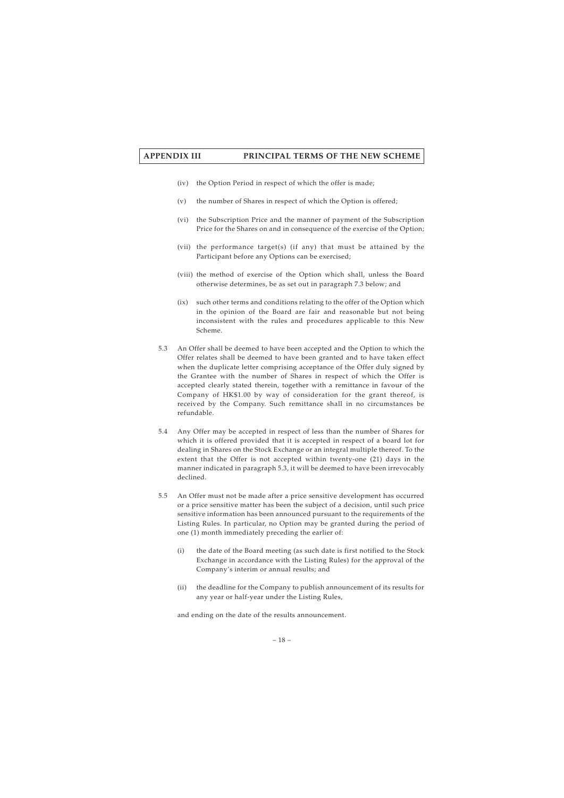- (iv) the Option Period in respect of which the offer is made;
- (v) the number of Shares in respect of which the Option is offered;
- (vi) the Subscription Price and the manner of payment of the Subscription Price for the Shares on and in consequence of the exercise of the Option;
- (vii) the performance target(s) (if any) that must be attained by the Participant before any Options can be exercised;
- (viii) the method of exercise of the Option which shall, unless the Board otherwise determines, be as set out in paragraph 7.3 below; and
- (ix) such other terms and conditions relating to the offer of the Option which in the opinion of the Board are fair and reasonable but not being inconsistent with the rules and procedures applicable to this New Scheme.
- 5.3 An Offer shall be deemed to have been accepted and the Option to which the Offer relates shall be deemed to have been granted and to have taken effect when the duplicate letter comprising acceptance of the Offer duly signed by the Grantee with the number of Shares in respect of which the Offer is accepted clearly stated therein, together with a remittance in favour of the Company of HK\$1.00 by way of consideration for the grant thereof, is received by the Company. Such remittance shall in no circumstances be refundable.
- 5.4 Any Offer may be accepted in respect of less than the number of Shares for which it is offered provided that it is accepted in respect of a board lot for dealing in Shares on the Stock Exchange or an integral multiple thereof. To the extent that the Offer is not accepted within twenty-one (21) days in the manner indicated in paragraph 5.3, it will be deemed to have been irrevocably declined.
- 5.5 An Offer must not be made after a price sensitive development has occurred or a price sensitive matter has been the subject of a decision, until such price sensitive information has been announced pursuant to the requirements of the Listing Rules. In particular, no Option may be granted during the period of one (1) month immediately preceding the earlier of:
	- (i) the date of the Board meeting (as such date is first notified to the Stock Exchange in accordance with the Listing Rules) for the approval of the Company's interim or annual results; and
	- (ii) the deadline for the Company to publish announcement of its results for any year or half-year under the Listing Rules,

and ending on the date of the results announcement.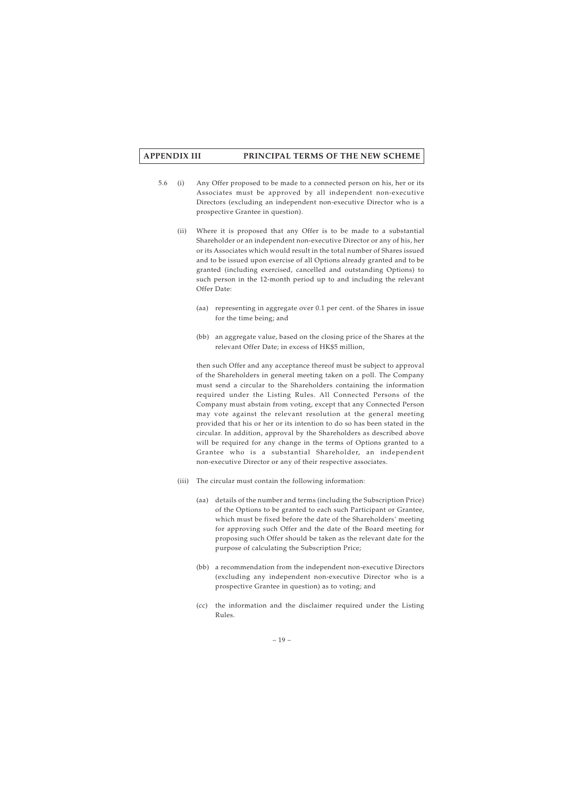- 5.6 (i) Any Offer proposed to be made to a connected person on his, her or its Associates must be approved by all independent non-executive Directors (excluding an independent non-executive Director who is a prospective Grantee in question).
	- (ii) Where it is proposed that any Offer is to be made to a substantial Shareholder or an independent non-executive Director or any of his, her or its Associates which would result in the total number of Shares issued and to be issued upon exercise of all Options already granted and to be granted (including exercised, cancelled and outstanding Options) to such person in the 12-month period up to and including the relevant Offer Date:
		- (aa) representing in aggregate over 0.1 per cent. of the Shares in issue for the time being; and
		- (bb) an aggregate value, based on the closing price of the Shares at the relevant Offer Date; in excess of HK\$5 million,

then such Offer and any acceptance thereof must be subject to approval of the Shareholders in general meeting taken on a poll. The Company must send a circular to the Shareholders containing the information required under the Listing Rules. All Connected Persons of the Company must abstain from voting, except that any Connected Person may vote against the relevant resolution at the general meeting provided that his or her or its intention to do so has been stated in the circular. In addition, approval by the Shareholders as described above will be required for any change in the terms of Options granted to a Grantee who is a substantial Shareholder, an independent non-executive Director or any of their respective associates.

- (iii) The circular must contain the following information:
	- (aa) details of the number and terms (including the Subscription Price) of the Options to be granted to each such Participant or Grantee, which must be fixed before the date of the Shareholders' meeting for approving such Offer and the date of the Board meeting for proposing such Offer should be taken as the relevant date for the purpose of calculating the Subscription Price;
	- (bb) a recommendation from the independent non-executive Directors (excluding any independent non-executive Director who is a prospective Grantee in question) as to voting; and
	- (cc) the information and the disclaimer required under the Listing Rules.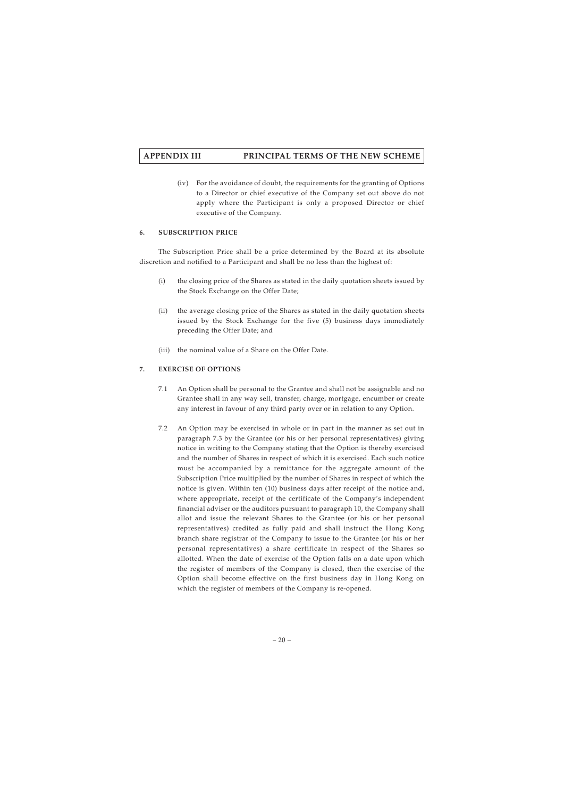(iv) For the avoidance of doubt, the requirements for the granting of Options to a Director or chief executive of the Company set out above do not apply where the Participant is only a proposed Director or chief executive of the Company.

## **6. SUBSCRIPTION PRICE**

The Subscription Price shall be a price determined by the Board at its absolute discretion and notified to a Participant and shall be no less than the highest of:

- (i) the closing price of the Shares as stated in the daily quotation sheets issued by the Stock Exchange on the Offer Date;
- (ii) the average closing price of the Shares as stated in the daily quotation sheets issued by the Stock Exchange for the five (5) business days immediately preceding the Offer Date; and
- (iii) the nominal value of a Share on the Offer Date.

# **7. EXERCISE OF OPTIONS**

- 7.1 An Option shall be personal to the Grantee and shall not be assignable and no Grantee shall in any way sell, transfer, charge, mortgage, encumber or create any interest in favour of any third party over or in relation to any Option.
- 7.2 An Option may be exercised in whole or in part in the manner as set out in paragraph 7.3 by the Grantee (or his or her personal representatives) giving notice in writing to the Company stating that the Option is thereby exercised and the number of Shares in respect of which it is exercised. Each such notice must be accompanied by a remittance for the aggregate amount of the Subscription Price multiplied by the number of Shares in respect of which the notice is given. Within ten (10) business days after receipt of the notice and, where appropriate, receipt of the certificate of the Company's independent financial adviser or the auditors pursuant to paragraph 10, the Company shall allot and issue the relevant Shares to the Grantee (or his or her personal representatives) credited as fully paid and shall instruct the Hong Kong branch share registrar of the Company to issue to the Grantee (or his or her personal representatives) a share certificate in respect of the Shares so allotted. When the date of exercise of the Option falls on a date upon which the register of members of the Company is closed, then the exercise of the Option shall become effective on the first business day in Hong Kong on which the register of members of the Company is re-opened.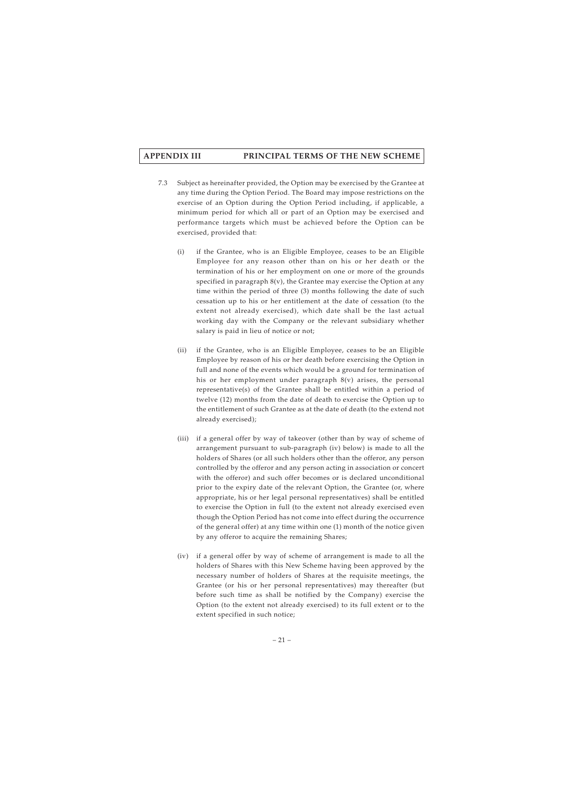- 7.3 Subject as hereinafter provided, the Option may be exercised by the Grantee at any time during the Option Period. The Board may impose restrictions on the exercise of an Option during the Option Period including, if applicable, a minimum period for which all or part of an Option may be exercised and performance targets which must be achieved before the Option can be exercised, provided that:
	- (i) if the Grantee, who is an Eligible Employee, ceases to be an Eligible Employee for any reason other than on his or her death or the termination of his or her employment on one or more of the grounds specified in paragraph  $8(y)$ , the Grantee may exercise the Option at any time within the period of three (3) months following the date of such cessation up to his or her entitlement at the date of cessation (to the extent not already exercised), which date shall be the last actual working day with the Company or the relevant subsidiary whether salary is paid in lieu of notice or not;
	- (ii) if the Grantee, who is an Eligible Employee, ceases to be an Eligible Employee by reason of his or her death before exercising the Option in full and none of the events which would be a ground for termination of his or her employment under paragraph 8(v) arises, the personal representative(s) of the Grantee shall be entitled within a period of twelve (12) months from the date of death to exercise the Option up to the entitlement of such Grantee as at the date of death (to the extend not already exercised);
	- (iii) if a general offer by way of takeover (other than by way of scheme of arrangement pursuant to sub-paragraph (iv) below) is made to all the holders of Shares (or all such holders other than the offeror, any person controlled by the offeror and any person acting in association or concert with the offeror) and such offer becomes or is declared unconditional prior to the expiry date of the relevant Option, the Grantee (or, where appropriate, his or her legal personal representatives) shall be entitled to exercise the Option in full (to the extent not already exercised even though the Option Period has not come into effect during the occurrence of the general offer) at any time within one (1) month of the notice given by any offeror to acquire the remaining Shares;
	- (iv) if a general offer by way of scheme of arrangement is made to all the holders of Shares with this New Scheme having been approved by the necessary number of holders of Shares at the requisite meetings, the Grantee (or his or her personal representatives) may thereafter (but before such time as shall be notified by the Company) exercise the Option (to the extent not already exercised) to its full extent or to the extent specified in such notice;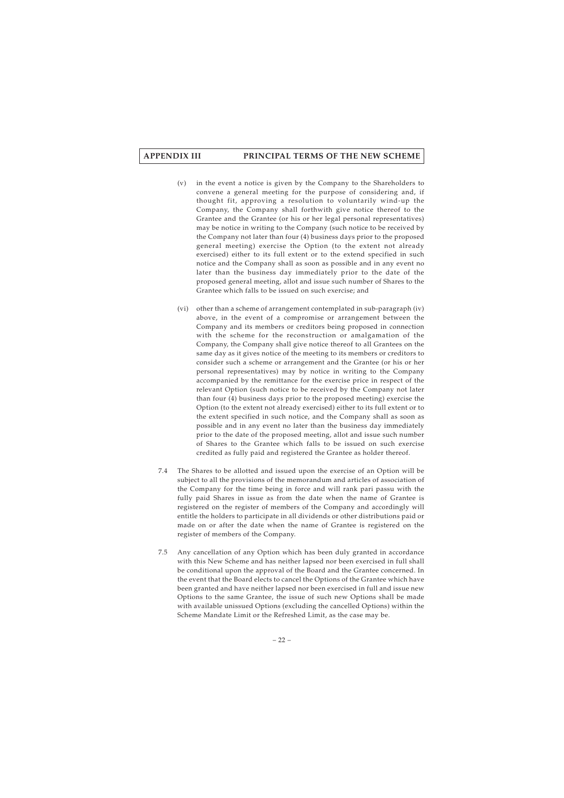- (v) in the event a notice is given by the Company to the Shareholders to convene a general meeting for the purpose of considering and, if thought fit, approving a resolution to voluntarily wind-up the Company, the Company shall forthwith give notice thereof to the Grantee and the Grantee (or his or her legal personal representatives) may be notice in writing to the Company (such notice to be received by the Company not later than four (4) business days prior to the proposed general meeting) exercise the Option (to the extent not already exercised) either to its full extent or to the extend specified in such notice and the Company shall as soon as possible and in any event no later than the business day immediately prior to the date of the proposed general meeting, allot and issue such number of Shares to the Grantee which falls to be issued on such exercise; and
- (vi) other than a scheme of arrangement contemplated in sub-paragraph (iv) above, in the event of a compromise or arrangement between the Company and its members or creditors being proposed in connection with the scheme for the reconstruction or amalgamation of the Company, the Company shall give notice thereof to all Grantees on the same day as it gives notice of the meeting to its members or creditors to consider such a scheme or arrangement and the Grantee (or his or her personal representatives) may by notice in writing to the Company accompanied by the remittance for the exercise price in respect of the relevant Option (such notice to be received by the Company not later than four (4) business days prior to the proposed meeting) exercise the Option (to the extent not already exercised) either to its full extent or to the extent specified in such notice, and the Company shall as soon as possible and in any event no later than the business day immediately prior to the date of the proposed meeting, allot and issue such number of Shares to the Grantee which falls to be issued on such exercise credited as fully paid and registered the Grantee as holder thereof.
- 7.4 The Shares to be allotted and issued upon the exercise of an Option will be subject to all the provisions of the memorandum and articles of association of the Company for the time being in force and will rank pari passu with the fully paid Shares in issue as from the date when the name of Grantee is registered on the register of members of the Company and accordingly will entitle the holders to participate in all dividends or other distributions paid or made on or after the date when the name of Grantee is registered on the register of members of the Company.
- 7.5 Any cancellation of any Option which has been duly granted in accordance with this New Scheme and has neither lapsed nor been exercised in full shall be conditional upon the approval of the Board and the Grantee concerned. In the event that the Board elects to cancel the Options of the Grantee which have been granted and have neither lapsed nor been exercised in full and issue new Options to the same Grantee, the issue of such new Options shall be made with available unissued Options (excluding the cancelled Options) within the Scheme Mandate Limit or the Refreshed Limit, as the case may be.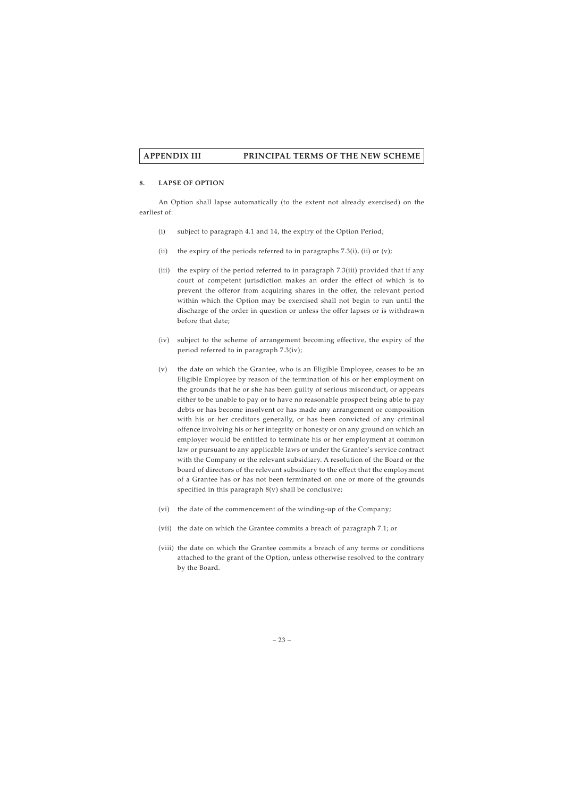### **8. LAPSE OF OPTION**

An Option shall lapse automatically (to the extent not already exercised) on the earliest of:

- (i) subject to paragraph 4.1 and 14, the expiry of the Option Period;
- (ii) the expiry of the periods referred to in paragraphs  $7.3(i)$ , (ii) or (v);
- (iii) the expiry of the period referred to in paragraph 7.3(iii) provided that if any court of competent jurisdiction makes an order the effect of which is to prevent the offeror from acquiring shares in the offer, the relevant period within which the Option may be exercised shall not begin to run until the discharge of the order in question or unless the offer lapses or is withdrawn before that date;
- (iv) subject to the scheme of arrangement becoming effective, the expiry of the period referred to in paragraph 7.3(iv);
- (v) the date on which the Grantee, who is an Eligible Employee, ceases to be an Eligible Employee by reason of the termination of his or her employment on the grounds that he or she has been guilty of serious misconduct, or appears either to be unable to pay or to have no reasonable prospect being able to pay debts or has become insolvent or has made any arrangement or composition with his or her creditors generally, or has been convicted of any criminal offence involving his or her integrity or honesty or on any ground on which an employer would be entitled to terminate his or her employment at common law or pursuant to any applicable laws or under the Grantee's service contract with the Company or the relevant subsidiary. A resolution of the Board or the board of directors of the relevant subsidiary to the effect that the employment of a Grantee has or has not been terminated on one or more of the grounds specified in this paragraph  $8(v)$  shall be conclusive;
- (vi) the date of the commencement of the winding-up of the Company;
- (vii) the date on which the Grantee commits a breach of paragraph 7.1; or
- (viii) the date on which the Grantee commits a breach of any terms or conditions attached to the grant of the Option, unless otherwise resolved to the contrary by the Board.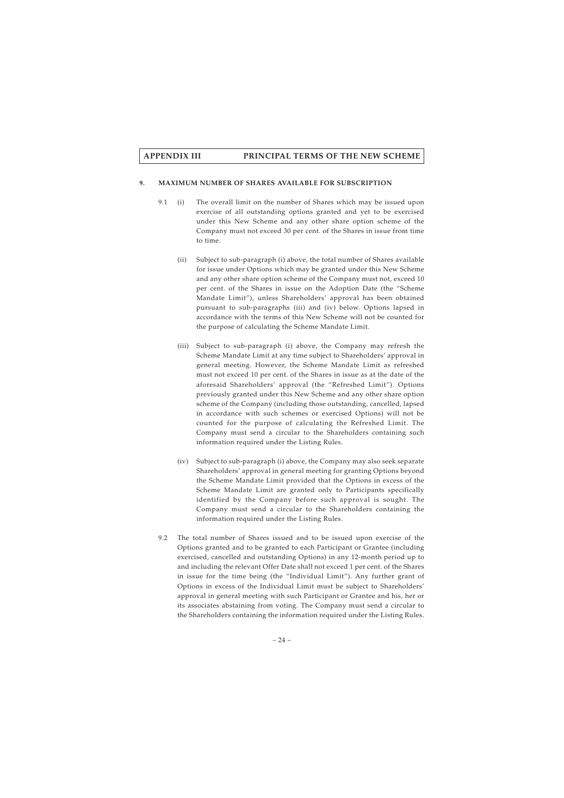#### **9. MAXIMUM NUMBER OF SHARES AVAILABLE FOR SUBSCRIPTION**

- 9.1 (i) The overall limit on the number of Shares which may be issued upon exercise of all outstanding options granted and yet to be exercised under this New Scheme and any other share option scheme of the Company must not exceed 30 per cent. of the Shares in issue from time to time.
	- (ii) Subject to sub-paragraph (i) above, the total number of Shares available for issue under Options which may be granted under this New Scheme and any other share option scheme of the Company must not, exceed 10 per cent. of the Shares in issue on the Adoption Date (the "Scheme Mandate Limit"), unless Shareholders' approval has been obtained pursuant to sub-paragraphs (iii) and (iv) below. Options lapsed in accordance with the terms of this New Scheme will not be counted for the purpose of calculating the Scheme Mandate Limit.
	- (iii) Subject to sub-paragraph (i) above, the Company may refresh the Scheme Mandate Limit at any time subject to Shareholders' approval in general meeting. However, the Scheme Mandate Limit as refreshed must not exceed 10 per cent. of the Shares in issue as at the date of the aforesaid Shareholders' approval (the "Refreshed Limit"). Options previously granted under this New Scheme and any other share option scheme of the Company (including those outstanding, cancelled, lapsed in accordance with such schemes or exercised Options) will not be counted for the purpose of calculating the Refreshed Limit. The Company must send a circular to the Shareholders containing such information required under the Listing Rules.
	- (iv) Subject to sub-paragraph (i) above, the Company may also seek separate Shareholders' approval in general meeting for granting Options beyond the Scheme Mandate Limit provided that the Options in excess of the Scheme Mandate Limit are granted only to Participants specifically identified by the Company before such approval is sought. The Company must send a circular to the Shareholders containing the information required under the Listing Rules.
- 9.2 The total number of Shares issued and to be issued upon exercise of the Options granted and to be granted to each Participant or Grantee (including exercised, cancelled and outstanding Options) in any 12-month period up to and including the relevant Offer Date shall not exceed 1 per cent. of the Shares in issue for the time being (the "Individual Limit"). Any further grant of Options in excess of the Individual Limit must be subject to Shareholders' approval in general meeting with such Participant or Grantee and his, her or its associates abstaining from voting. The Company must send a circular to the Shareholders containing the information required under the Listing Rules.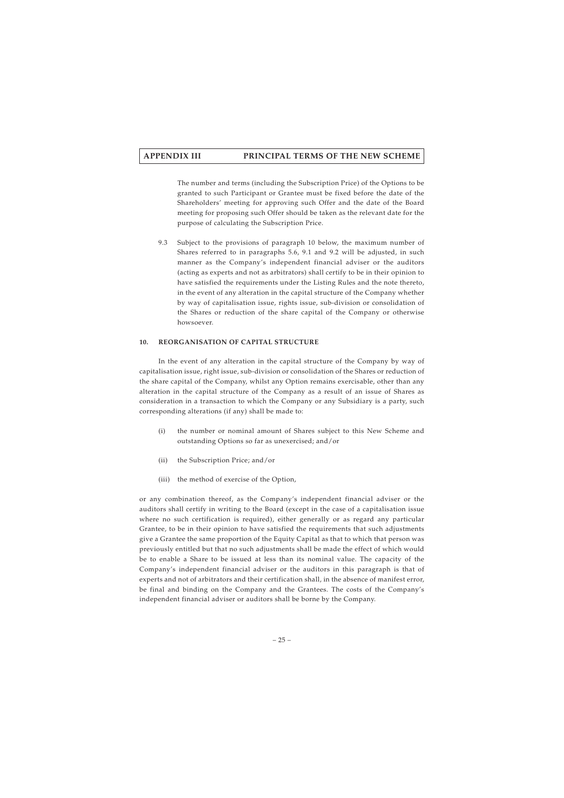The number and terms (including the Subscription Price) of the Options to be granted to such Participant or Grantee must be fixed before the date of the Shareholders' meeting for approving such Offer and the date of the Board meeting for proposing such Offer should be taken as the relevant date for the purpose of calculating the Subscription Price.

9.3 Subject to the provisions of paragraph 10 below, the maximum number of Shares referred to in paragraphs 5.6, 9.1 and 9.2 will be adjusted, in such manner as the Company's independent financial adviser or the auditors (acting as experts and not as arbitrators) shall certify to be in their opinion to have satisfied the requirements under the Listing Rules and the note thereto, in the event of any alteration in the capital structure of the Company whether by way of capitalisation issue, rights issue, sub-division or consolidation of the Shares or reduction of the share capital of the Company or otherwise howsoever.

## **10. REORGANISATION OF CAPITAL STRUCTURE**

In the event of any alteration in the capital structure of the Company by way of capitalisation issue, right issue, sub-division or consolidation of the Shares or reduction of the share capital of the Company, whilst any Option remains exercisable, other than any alteration in the capital structure of the Company as a result of an issue of Shares as consideration in a transaction to which the Company or any Subsidiary is a party, such corresponding alterations (if any) shall be made to:

- (i) the number or nominal amount of Shares subject to this New Scheme and outstanding Options so far as unexercised; and/or
- (ii) the Subscription Price; and/or
- (iii) the method of exercise of the Option,

or any combination thereof, as the Company's independent financial adviser or the auditors shall certify in writing to the Board (except in the case of a capitalisation issue where no such certification is required), either generally or as regard any particular Grantee, to be in their opinion to have satisfied the requirements that such adjustments give a Grantee the same proportion of the Equity Capital as that to which that person was previously entitled but that no such adjustments shall be made the effect of which would be to enable a Share to be issued at less than its nominal value. The capacity of the Company's independent financial adviser or the auditors in this paragraph is that of experts and not of arbitrators and their certification shall, in the absence of manifest error, be final and binding on the Company and the Grantees. The costs of the Company's independent financial adviser or auditors shall be borne by the Company.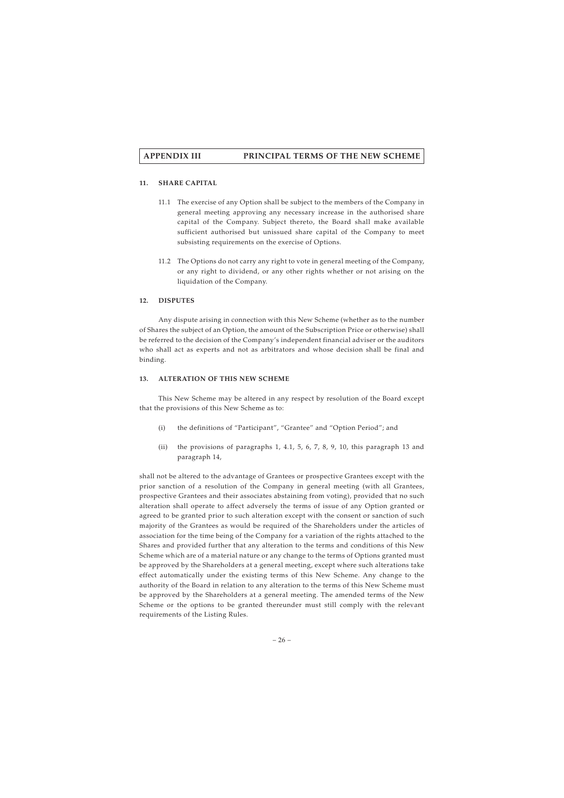## **11. SHARE CAPITAL**

- 11.1 The exercise of any Option shall be subject to the members of the Company in general meeting approving any necessary increase in the authorised share capital of the Company. Subject thereto, the Board shall make available sufficient authorised but unissued share capital of the Company to meet subsisting requirements on the exercise of Options.
- 11.2 The Options do not carry any right to vote in general meeting of the Company, or any right to dividend, or any other rights whether or not arising on the liquidation of the Company.

### **12. DISPUTES**

Any dispute arising in connection with this New Scheme (whether as to the number of Shares the subject of an Option, the amount of the Subscription Price or otherwise) shall be referred to the decision of the Company's independent financial adviser or the auditors who shall act as experts and not as arbitrators and whose decision shall be final and binding.

#### **13. ALTERATION OF THIS NEW SCHEME**

This New Scheme may be altered in any respect by resolution of the Board except that the provisions of this New Scheme as to:

- (i) the definitions of "Participant", "Grantee" and "Option Period"; and
- (ii) the provisions of paragraphs 1, 4.1, 5, 6, 7, 8, 9, 10, this paragraph 13 and paragraph 14,

shall not be altered to the advantage of Grantees or prospective Grantees except with the prior sanction of a resolution of the Company in general meeting (with all Grantees, prospective Grantees and their associates abstaining from voting), provided that no such alteration shall operate to affect adversely the terms of issue of any Option granted or agreed to be granted prior to such alteration except with the consent or sanction of such majority of the Grantees as would be required of the Shareholders under the articles of association for the time being of the Company for a variation of the rights attached to the Shares and provided further that any alteration to the terms and conditions of this New Scheme which are of a material nature or any change to the terms of Options granted must be approved by the Shareholders at a general meeting, except where such alterations take effect automatically under the existing terms of this New Scheme. Any change to the authority of the Board in relation to any alteration to the terms of this New Scheme must be approved by the Shareholders at a general meeting. The amended terms of the New Scheme or the options to be granted thereunder must still comply with the relevant requirements of the Listing Rules.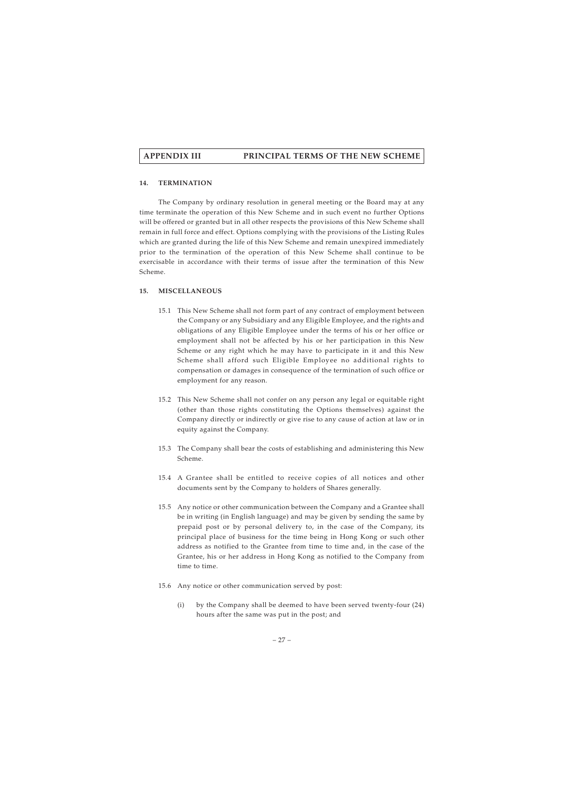### **14. TERMINATION**

The Company by ordinary resolution in general meeting or the Board may at any time terminate the operation of this New Scheme and in such event no further Options will be offered or granted but in all other respects the provisions of this New Scheme shall remain in full force and effect. Options complying with the provisions of the Listing Rules which are granted during the life of this New Scheme and remain unexpired immediately prior to the termination of the operation of this New Scheme shall continue to be exercisable in accordance with their terms of issue after the termination of this New Scheme.

### **15. MISCELLANEOUS**

- 15.1 This New Scheme shall not form part of any contract of employment between the Company or any Subsidiary and any Eligible Employee, and the rights and obligations of any Eligible Employee under the terms of his or her office or employment shall not be affected by his or her participation in this New Scheme or any right which he may have to participate in it and this New Scheme shall afford such Eligible Employee no additional rights to compensation or damages in consequence of the termination of such office or employment for any reason.
- 15.2 This New Scheme shall not confer on any person any legal or equitable right (other than those rights constituting the Options themselves) against the Company directly or indirectly or give rise to any cause of action at law or in equity against the Company.
- 15.3 The Company shall bear the costs of establishing and administering this New Scheme.
- 15.4 A Grantee shall be entitled to receive copies of all notices and other documents sent by the Company to holders of Shares generally.
- 15.5 Any notice or other communication between the Company and a Grantee shall be in writing (in English language) and may be given by sending the same by prepaid post or by personal delivery to, in the case of the Company, its principal place of business for the time being in Hong Kong or such other address as notified to the Grantee from time to time and, in the case of the Grantee, his or her address in Hong Kong as notified to the Company from time to time.
- 15.6 Any notice or other communication served by post:
	- (i) by the Company shall be deemed to have been served twenty-four (24) hours after the same was put in the post; and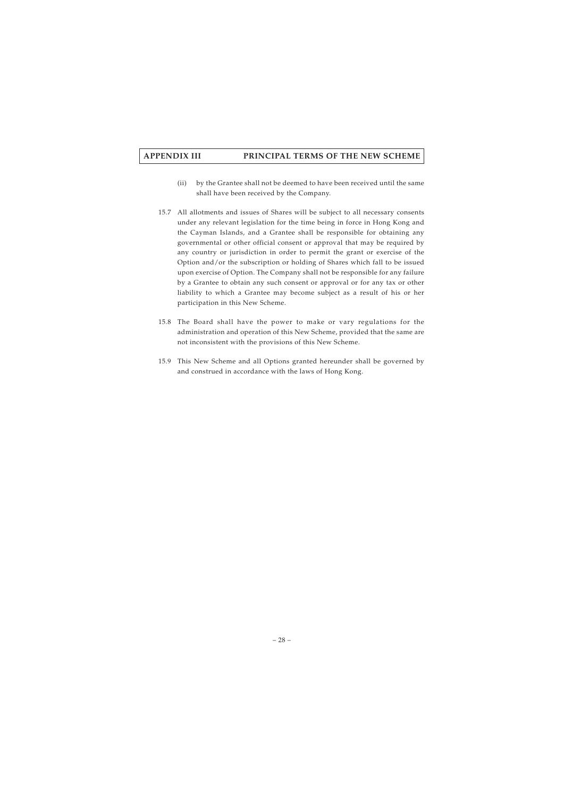- (ii) by the Grantee shall not be deemed to have been received until the same shall have been received by the Company.
- 15.7 All allotments and issues of Shares will be subject to all necessary consents under any relevant legislation for the time being in force in Hong Kong and the Cayman Islands, and a Grantee shall be responsible for obtaining any governmental or other official consent or approval that may be required by any country or jurisdiction in order to permit the grant or exercise of the Option and/or the subscription or holding of Shares which fall to be issued upon exercise of Option. The Company shall not be responsible for any failure by a Grantee to obtain any such consent or approval or for any tax or other liability to which a Grantee may become subject as a result of his or her participation in this New Scheme.
- 15.8 The Board shall have the power to make or vary regulations for the administration and operation of this New Scheme, provided that the same are not inconsistent with the provisions of this New Scheme.
- 15.9 This New Scheme and all Options granted hereunder shall be governed by and construed in accordance with the laws of Hong Kong.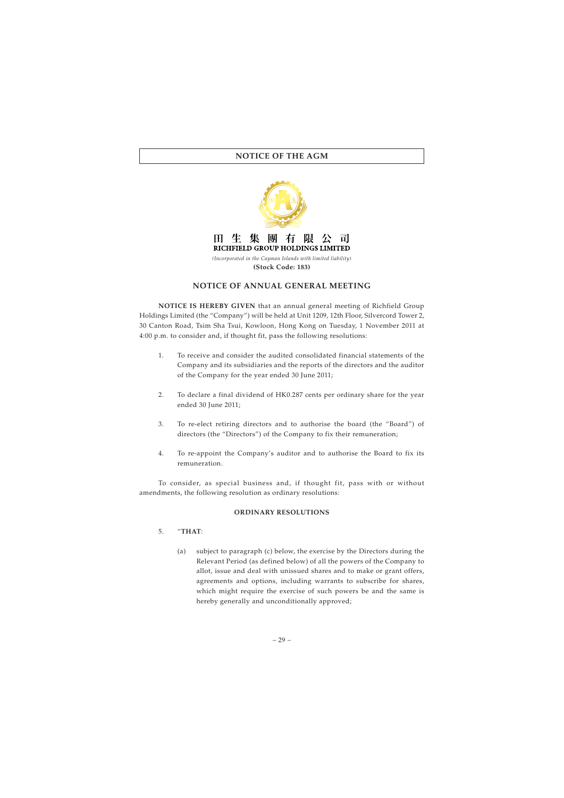

# **NOTICE OF ANNUAL GENERAL MEETING**

**NOTICE IS HEREBY GIVEN** that an annual general meeting of Richfield Group Holdings Limited (the "Company") will be held at Unit 1209, 12th Floor, Silvercord Tower 2, 30 Canton Road, Tsim Sha Tsui, Kowloon, Hong Kong on Tuesday, 1 November 2011 at 4:00 p.m. to consider and, if thought fit, pass the following resolutions:

- 1. To receive and consider the audited consolidated financial statements of the Company and its subsidiaries and the reports of the directors and the auditor of the Company for the year ended 30 June 2011;
- 2. To declare a final dividend of HK0.287 cents per ordinary share for the year ended 30 June 2011;
- 3. To re-elect retiring directors and to authorise the board (the "Board") of directors (the "Directors") of the Company to fix their remuneration;
- 4. To re-appoint the Company's auditor and to authorise the Board to fix its remuneration.

To consider, as special business and, if thought fit, pass with or without amendments, the following resolution as ordinary resolutions:

#### **ORDINARY RESOLUTIONS**

## 5. "**THAT**:

(a) subject to paragraph (c) below, the exercise by the Directors during the Relevant Period (as defined below) of all the powers of the Company to allot, issue and deal with unissued shares and to make or grant offers, agreements and options, including warrants to subscribe for shares, which might require the exercise of such powers be and the same is hereby generally and unconditionally approved;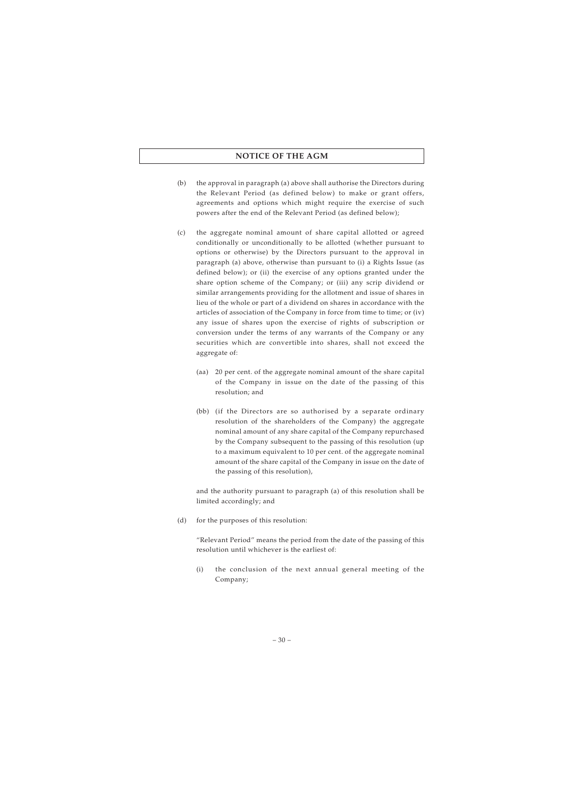- (b) the approval in paragraph (a) above shall authorise the Directors during the Relevant Period (as defined below) to make or grant offers, agreements and options which might require the exercise of such powers after the end of the Relevant Period (as defined below);
- (c) the aggregate nominal amount of share capital allotted or agreed conditionally or unconditionally to be allotted (whether pursuant to options or otherwise) by the Directors pursuant to the approval in paragraph (a) above, otherwise than pursuant to (i) a Rights Issue (as defined below); or (ii) the exercise of any options granted under the share option scheme of the Company; or (iii) any scrip dividend or similar arrangements providing for the allotment and issue of shares in lieu of the whole or part of a dividend on shares in accordance with the articles of association of the Company in force from time to time; or (iv) any issue of shares upon the exercise of rights of subscription or conversion under the terms of any warrants of the Company or any securities which are convertible into shares, shall not exceed the aggregate of:
	- (aa) 20 per cent. of the aggregate nominal amount of the share capital of the Company in issue on the date of the passing of this resolution; and
	- (bb) (if the Directors are so authorised by a separate ordinary resolution of the shareholders of the Company) the aggregate nominal amount of any share capital of the Company repurchased by the Company subsequent to the passing of this resolution (up to a maximum equivalent to 10 per cent. of the aggregate nominal amount of the share capital of the Company in issue on the date of the passing of this resolution),

and the authority pursuant to paragraph (a) of this resolution shall be limited accordingly; and

(d) for the purposes of this resolution:

"Relevant Period" means the period from the date of the passing of this resolution until whichever is the earliest of:

(i) the conclusion of the next annual general meeting of the Company;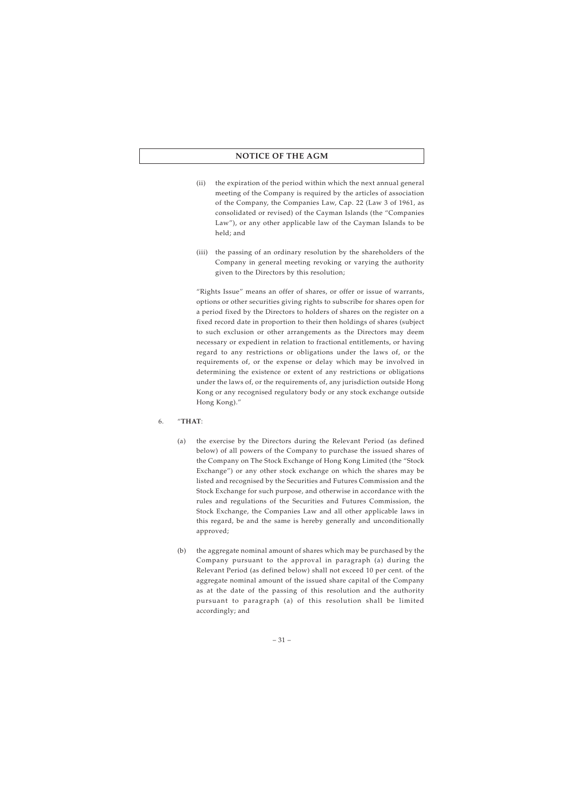- (ii) the expiration of the period within which the next annual general meeting of the Company is required by the articles of association of the Company, the Companies Law, Cap. 22 (Law 3 of 1961, as consolidated or revised) of the Cayman Islands (the "Companies Law"), or any other applicable law of the Cayman Islands to be held; and
- (iii) the passing of an ordinary resolution by the shareholders of the Company in general meeting revoking or varying the authority given to the Directors by this resolution;

"Rights Issue" means an offer of shares, or offer or issue of warrants, options or other securities giving rights to subscribe for shares open for a period fixed by the Directors to holders of shares on the register on a fixed record date in proportion to their then holdings of shares (subject to such exclusion or other arrangements as the Directors may deem necessary or expedient in relation to fractional entitlements, or having regard to any restrictions or obligations under the laws of, or the requirements of, or the expense or delay which may be involved in determining the existence or extent of any restrictions or obligations under the laws of, or the requirements of, any jurisdiction outside Hong Kong or any recognised regulatory body or any stock exchange outside Hong Kong)."

## 6. "**THAT**:

- (a) the exercise by the Directors during the Relevant Period (as defined below) of all powers of the Company to purchase the issued shares of the Company on The Stock Exchange of Hong Kong Limited (the "Stock Exchange") or any other stock exchange on which the shares may be listed and recognised by the Securities and Futures Commission and the Stock Exchange for such purpose, and otherwise in accordance with the rules and regulations of the Securities and Futures Commission, the Stock Exchange, the Companies Law and all other applicable laws in this regard, be and the same is hereby generally and unconditionally approved;
- (b) the aggregate nominal amount of shares which may be purchased by the Company pursuant to the approval in paragraph (a) during the Relevant Period (as defined below) shall not exceed 10 per cent. of the aggregate nominal amount of the issued share capital of the Company as at the date of the passing of this resolution and the authority pursuant to paragraph (a) of this resolution shall be limited accordingly; and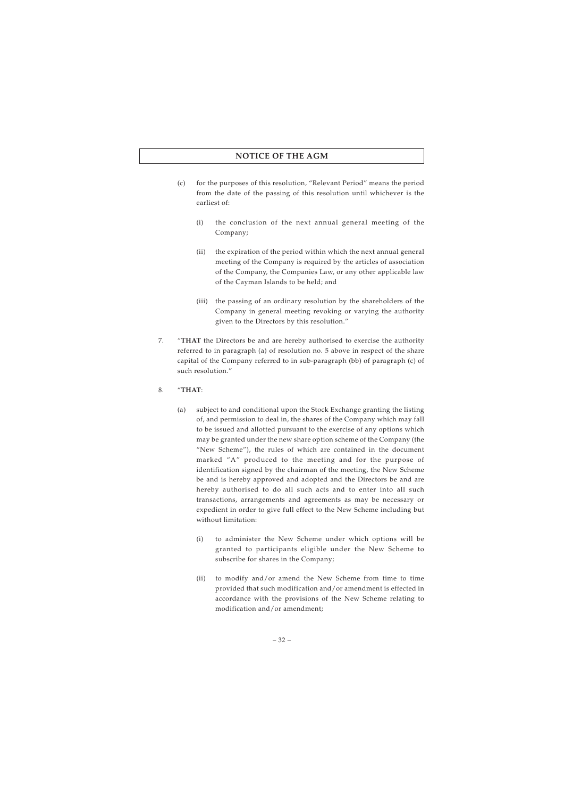- (c) for the purposes of this resolution, "Relevant Period" means the period from the date of the passing of this resolution until whichever is the earliest of:
	- (i) the conclusion of the next annual general meeting of the Company;
	- (ii) the expiration of the period within which the next annual general meeting of the Company is required by the articles of association of the Company, the Companies Law, or any other applicable law of the Cayman Islands to be held; and
	- (iii) the passing of an ordinary resolution by the shareholders of the Company in general meeting revoking or varying the authority given to the Directors by this resolution."
- 7. "**THAT** the Directors be and are hereby authorised to exercise the authority referred to in paragraph (a) of resolution no. 5 above in respect of the share capital of the Company referred to in sub-paragraph (bb) of paragraph (c) of such resolution."
- 8. "**THAT**:
	- (a) subject to and conditional upon the Stock Exchange granting the listing of, and permission to deal in, the shares of the Company which may fall to be issued and allotted pursuant to the exercise of any options which may be granted under the new share option scheme of the Company (the "New Scheme"), the rules of which are contained in the document marked "A" produced to the meeting and for the purpose of identification signed by the chairman of the meeting, the New Scheme be and is hereby approved and adopted and the Directors be and are hereby authorised to do all such acts and to enter into all such transactions, arrangements and agreements as may be necessary or expedient in order to give full effect to the New Scheme including but without limitation:
		- (i) to administer the New Scheme under which options will be granted to participants eligible under the New Scheme to subscribe for shares in the Company;
		- (ii) to modify and/or amend the New Scheme from time to time provided that such modification and/or amendment is effected in accordance with the provisions of the New Scheme relating to modification and/or amendment;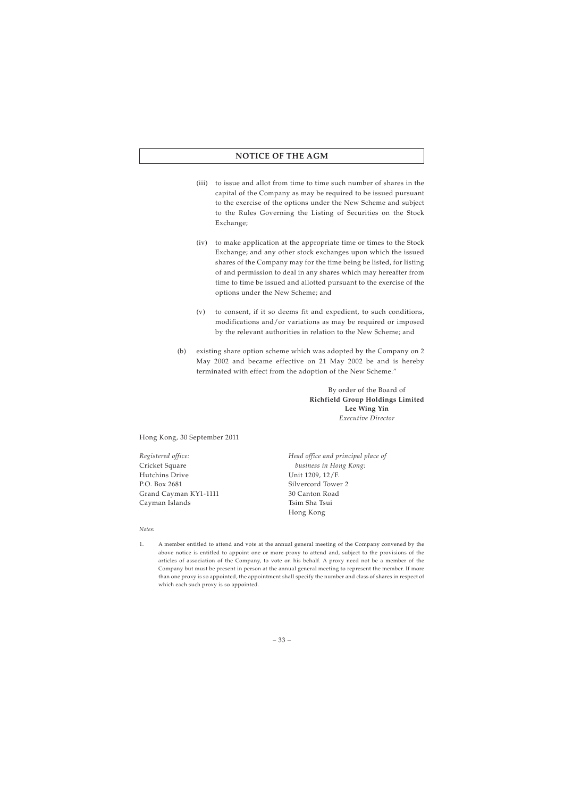- (iii) to issue and allot from time to time such number of shares in the capital of the Company as may be required to be issued pursuant to the exercise of the options under the New Scheme and subject to the Rules Governing the Listing of Securities on the Stock Exchange;
- (iv) to make application at the appropriate time or times to the Stock Exchange; and any other stock exchanges upon which the issued shares of the Company may for the time being be listed, for listing of and permission to deal in any shares which may hereafter from time to time be issued and allotted pursuant to the exercise of the options under the New Scheme; and
- (v) to consent, if it so deems fit and expedient, to such conditions, modifications and/or variations as may be required or imposed by the relevant authorities in relation to the New Scheme; and
- (b) existing share option scheme which was adopted by the Company on 2 May 2002 and became effective on 21 May 2002 be and is hereby terminated with effect from the adoption of the New Scheme."

By order of the Board of **Richfield Group Holdings Limited Lee Wing Yin** *Executive Director*

Hong Kong, 30 September 2011

*Registered office:* Cricket Square Hutchins Drive P.O. Box 2681 Grand Cayman KY1-1111 Cayman Islands

*Head office and principal place of business in Hong Kong:* Unit 1209, 12/F. Silvercord Tower 2 30 Canton Road Tsim Sha Tsui Hong Kong

*Notes:*

1. A member entitled to attend and vote at the annual general meeting of the Company convened by the above notice is entitled to appoint one or more proxy to attend and, subject to the provisions of the articles of association of the Company, to vote on his behalf. A proxy need not be a member of the Company but must be present in person at the annual general meeting to represent the member. If more than one proxy is so appointed, the appointment shall specify the number and class of shares in respect of which each such proxy is so appointed.